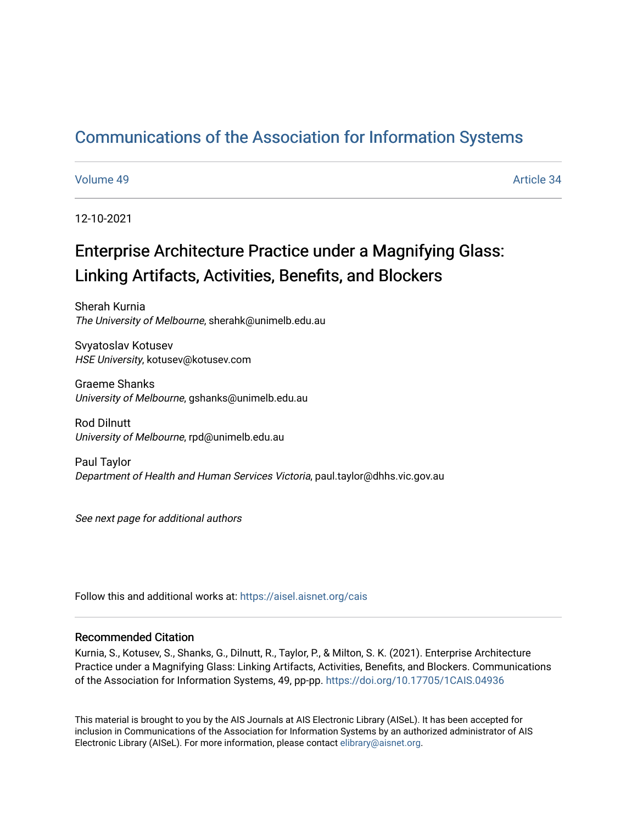## [Communications of the Association for Information Systems](https://aisel.aisnet.org/cais)

#### [Volume 49](https://aisel.aisnet.org/cais/vol49) Article 34

12-10-2021

# Enterprise Architecture Practice under a Magnifying Glass: Linking Artifacts, Activities, Benefits, and Blockers

Sherah Kurnia The University of Melbourne, sherahk@unimelb.edu.au

Svyatoslav Kotusev HSE University, kotusev@kotusev.com

Graeme Shanks University of Melbourne, gshanks@unimelb.edu.au

Rod Dilnutt University of Melbourne, rpd@unimelb.edu.au

Paul Taylor Department of Health and Human Services Victoria, paul.taylor@dhhs.vic.gov.au

See next page for additional authors

Follow this and additional works at: [https://aisel.aisnet.org/cais](https://aisel.aisnet.org/cais?utm_source=aisel.aisnet.org%2Fcais%2Fvol49%2Fiss1%2F34&utm_medium=PDF&utm_campaign=PDFCoverPages)

### Recommended Citation

Kurnia, S., Kotusev, S., Shanks, G., Dilnutt, R., Taylor, P., & Milton, S. K. (2021). Enterprise Architecture Practice under a Magnifying Glass: Linking Artifacts, Activities, Benefits, and Blockers. Communications of the Association for Information Systems, 49, pp-pp.<https://doi.org/10.17705/1CAIS.04936>

This material is brought to you by the AIS Journals at AIS Electronic Library (AISeL). It has been accepted for inclusion in Communications of the Association for Information Systems by an authorized administrator of AIS Electronic Library (AISeL). For more information, please contact [elibrary@aisnet.org.](mailto:elibrary@aisnet.org%3E)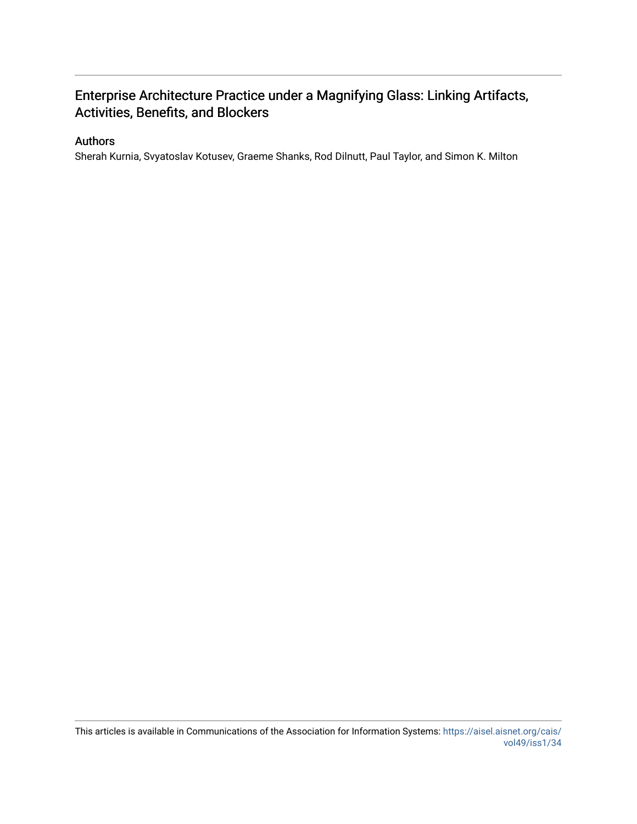## Enterprise Architecture Practice under a Magnifying Glass: Linking Artifacts, Activities, Benefits, and Blockers

### Authors

Sherah Kurnia, Svyatoslav Kotusev, Graeme Shanks, Rod Dilnutt, Paul Taylor, and Simon K. Milton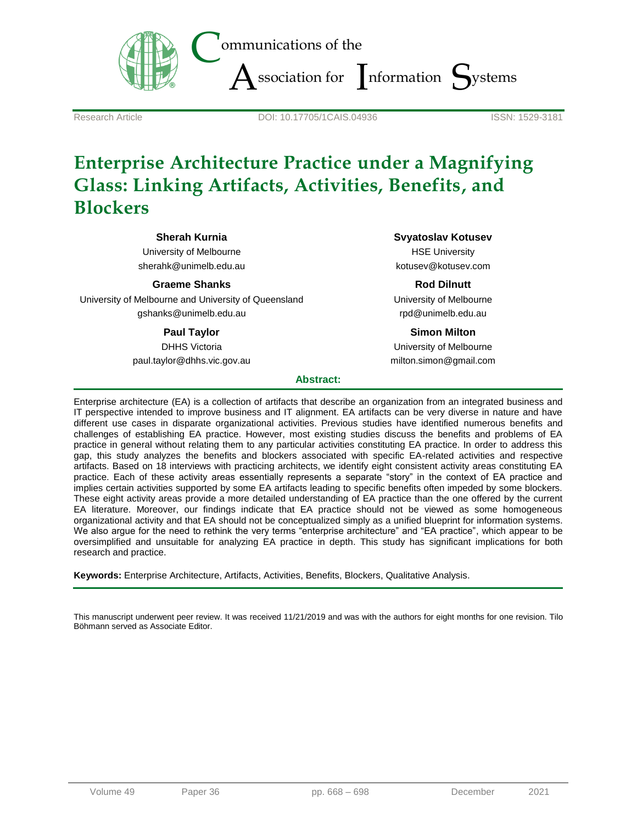

Research Article DOI: 10.17705/1CAIS.04936 ISSN: 1529-3181

# **Enterprise Architecture Practice under a Magnifying Glass: Linking Artifacts, Activities, Benefits, and Blockers**

**Sherah Kurnia**

University of Melbourne sherahk@unimelb.edu.au

**Graeme Shanks**

University of Melbourne and University of Queensland gshanks@unimelb.edu.au

### **Paul Taylor**

DHHS Victoria paul.taylor@dhhs.vic.gov.au **Svyatoslav Kotusev**

HSE University kotusev@kotusev.com

**Rod Dilnutt** University of Melbourne rpd@unimelb.edu.au

### **Simon Milton**

University of Melbourne milton.simon@gmail.com

#### **Abstract:**

Enterprise architecture (EA) is a collection of artifacts that describe an organization from an integrated business and IT perspective intended to improve business and IT alignment. EA artifacts can be very diverse in nature and have different use cases in disparate organizational activities. Previous studies have identified numerous benefits and challenges of establishing EA practice. However, most existing studies discuss the benefits and problems of EA practice in general without relating them to any particular activities constituting EA practice. In order to address this gap, this study analyzes the benefits and blockers associated with specific EA-related activities and respective artifacts. Based on 18 interviews with practicing architects, we identify eight consistent activity areas constituting EA practice. Each of these activity areas essentially represents a separate "story" in the context of EA practice and implies certain activities supported by some EA artifacts leading to specific benefits often impeded by some blockers. These eight activity areas provide a more detailed understanding of EA practice than the one offered by the current EA literature. Moreover, our findings indicate that EA practice should not be viewed as some homogeneous organizational activity and that EA should not be conceptualized simply as a unified blueprint for information systems. We also argue for the need to rethink the very terms "enterprise architecture" and "EA practice", which appear to be oversimplified and unsuitable for analyzing EA practice in depth. This study has significant implications for both research and practice.

**Keywords:** Enterprise Architecture, Artifacts, Activities, Benefits, Blockers, Qualitative Analysis.

This manuscript underwent peer review. It was received 11/21/2019 and was with the authors for eight months for one revision. Tilo Böhmann served as Associate Editor.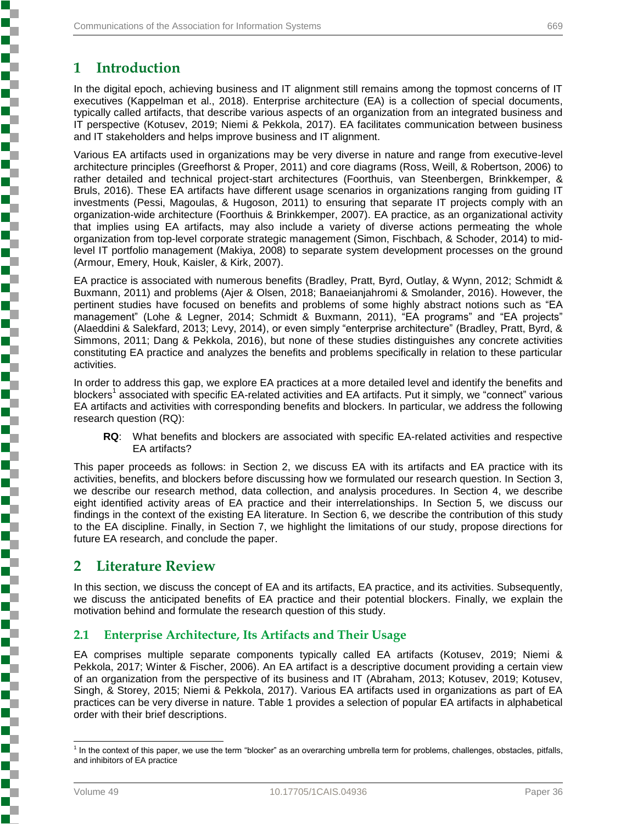## **1 Introduction**

In the digital epoch, achieving business and IT alignment still remains among the topmost concerns of IT executives (Kappelman et al., 2018). Enterprise architecture (EA) is a collection of special documents, typically called artifacts, that describe various aspects of an organization from an integrated business and IT perspective (Kotusev, 2019; Niemi & Pekkola, 2017). EA facilitates communication between business and IT stakeholders and helps improve business and IT alignment.

Various EA artifacts used in organizations may be very diverse in nature and range from executive-level architecture principles (Greefhorst & Proper, 2011) and core diagrams (Ross, Weill, & Robertson, 2006) to rather detailed and technical project-start architectures (Foorthuis, van Steenbergen, Brinkkemper, & Bruls, 2016). These EA artifacts have different usage scenarios in organizations ranging from guiding IT investments (Pessi, Magoulas, & Hugoson, 2011) to ensuring that separate IT projects comply with an organization-wide architecture (Foorthuis & Brinkkemper, 2007). EA practice, as an organizational activity that implies using EA artifacts, may also include a variety of diverse actions permeating the whole organization from top-level corporate strategic management (Simon, Fischbach, & Schoder, 2014) to midlevel IT portfolio management (Makiya, 2008) to separate system development processes on the ground (Armour, Emery, Houk, Kaisler, & Kirk, 2007).

EA practice is associated with numerous benefits (Bradley, Pratt, Byrd, Outlay, & Wynn, 2012; Schmidt & Buxmann, 2011) and problems (Ajer & Olsen, 2018; Banaeianjahromi & Smolander, 2016). However, the pertinent studies have focused on benefits and problems of some highly abstract notions such as "EA management" (Lohe & Legner, 2014; Schmidt & Buxmann, 2011), "EA programs" and "EA projects" (Alaeddini & Salekfard, 2013; Levy, 2014), or even simply "enterprise architecture" (Bradley, Pratt, Byrd, & Simmons, 2011; Dang & Pekkola, 2016), but none of these studies distinguishes any concrete activities constituting EA practice and analyzes the benefits and problems specifically in relation to these particular activities.

In order to address this gap, we explore EA practices at a more detailed level and identify the benefits and blockers<sup>1</sup> associated with specific EA-related activities and EA artifacts. Put it simply, we "connect" various EA artifacts and activities with corresponding benefits and blockers. In particular, we address the following research question (RQ):

**RQ**: What benefits and blockers are associated with specific EA-related activities and respective EA artifacts?

This paper proceeds as follows: in Section 2, we discuss EA with its artifacts and EA practice with its activities, benefits, and blockers before discussing how we formulated our research question. In Section 3, we describe our research method, data collection, and analysis procedures. In Section 4, we describe eight identified activity areas of EA practice and their interrelationships. In Section 5, we discuss our findings in the context of the existing EA literature. In Section 6, we describe the contribution of this study to the EA discipline. Finally, in Section 7, we highlight the limitations of our study, propose directions for future EA research, and conclude the paper.

## **2 Literature Review**

In this section, we discuss the concept of EA and its artifacts, EA practice, and its activities. Subsequently, we discuss the anticipated benefits of EA practice and their potential blockers. Finally, we explain the motivation behind and formulate the research question of this study.

## **2.1 Enterprise Architecture, Its Artifacts and Their Usage**

EA comprises multiple separate components typically called EA artifacts (Kotusev, 2019; Niemi & Pekkola, 2017; Winter & Fischer, 2006). An EA artifact is a descriptive document providing a certain view of an organization from the perspective of its business and IT (Abraham, 2013; Kotusev, 2019; Kotusev, Singh, & Storey, 2015; Niemi & Pekkola, 2017). Various EA artifacts used in organizations as part of EA practices can be very diverse in nature. Table 1 provides a selection of popular EA artifacts in alphabetical order with their brief descriptions.

**Property in the company's company's company's company's company's company's company's company's company's company's company's company's company's company's company's company's company's company's company's company's compa** 

 1 In the context of this paper, we use the term "blocker" as an overarching umbrella term for problems, challenges, obstacles, pitfalls, and inhibitors of EA practice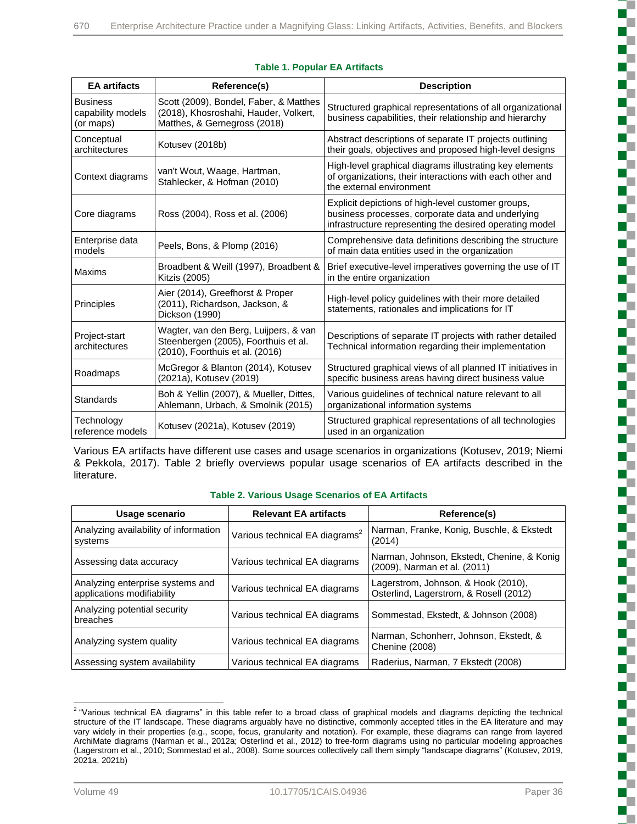| <b>EA</b> artifacts                               | Reference(s)                                                                                                     | <b>Description</b>                                                                                                                                                 |
|---------------------------------------------------|------------------------------------------------------------------------------------------------------------------|--------------------------------------------------------------------------------------------------------------------------------------------------------------------|
| <b>Business</b><br>capability models<br>(or maps) | Scott (2009), Bondel, Faber, & Matthes<br>(2018), Khosroshahi, Hauder, Volkert,<br>Matthes, & Gernegross (2018)  | Structured graphical representations of all organizational<br>business capabilities, their relationship and hierarchy                                              |
| Conceptual<br>architectures                       | Kotusev (2018b)                                                                                                  | Abstract descriptions of separate IT projects outlining<br>their goals, objectives and proposed high-level designs                                                 |
| Context diagrams                                  | van't Wout, Waage, Hartman,<br>Stahlecker, & Hofman (2010)                                                       | High-level graphical diagrams illustrating key elements<br>of organizations, their interactions with each other and<br>the external environment                    |
| Core diagrams                                     | Ross (2004), Ross et al. (2006)                                                                                  | Explicit depictions of high-level customer groups,<br>business processes, corporate data and underlying<br>infrastructure representing the desired operating model |
| Enterprise data<br>models                         | Peels, Bons, & Plomp (2016)                                                                                      | Comprehensive data definitions describing the structure<br>of main data entities used in the organization                                                          |
| Maxims                                            | Broadbent & Weill (1997), Broadbent &<br>Kitzis (2005)                                                           | Brief executive-level imperatives governing the use of IT<br>in the entire organization                                                                            |
| Principles                                        | Aier (2014), Greefhorst & Proper<br>(2011), Richardson, Jackson, &<br>Dickson (1990)                             | High-level policy guidelines with their more detailed<br>statements, rationales and implications for IT                                                            |
| Project-start<br>architectures                    | Wagter, van den Berg, Luijpers, & van<br>Steenbergen (2005), Foorthuis et al.<br>(2010), Foorthuis et al. (2016) | Descriptions of separate IT projects with rather detailed<br>Technical information regarding their implementation                                                  |
| Roadmaps                                          | McGregor & Blanton (2014), Kotusev<br>(2021a), Kotusev (2019)                                                    | Structured graphical views of all planned IT initiatives in<br>specific business areas having direct business value                                                |
| <b>Standards</b>                                  | Boh & Yellin (2007), & Mueller, Dittes,<br>Ahlemann, Urbach, & Smolnik (2015)                                    | Various guidelines of technical nature relevant to all<br>organizational information systems                                                                       |
| Technology<br>reference models                    | Kotusev (2021a), Kotusev (2019)                                                                                  | Structured graphical representations of all technologies<br>used in an organization                                                                                |

#### **Table 1. Popular EA Artifacts**

Various EA artifacts have different use cases and usage scenarios in organizations (Kotusev, 2019; Niemi & Pekkola, 2017). Table 2 briefly overviews popular usage scenarios of EA artifacts described in the literature.

#### **Table 2. Various Usage Scenarios of EA Artifacts**

| Usage scenario                                                 | <b>Relevant EA artifacts</b>               | Reference(s)                                                                  |
|----------------------------------------------------------------|--------------------------------------------|-------------------------------------------------------------------------------|
| Analyzing availability of information<br>systems               | Various technical EA diagrams <sup>2</sup> | Narman, Franke, Konig, Buschle, & Ekstedt<br>(2014)                           |
| Assessing data accuracy                                        | Various technical EA diagrams              | Narman, Johnson, Ekstedt, Chenine, & Konig<br>(2009), Narman et al. (2011)    |
| Analyzing enterprise systems and<br>applications modifiability | Various technical EA diagrams              | Lagerstrom, Johnson, & Hook (2010),<br>Osterlind, Lagerstrom, & Rosell (2012) |
| Analyzing potential security<br>breaches                       | Various technical EA diagrams              | Sommestad, Ekstedt, & Johnson (2008)                                          |
| Analyzing system quality                                       | Various technical EA diagrams              | Narman, Schonherr, Johnson, Ekstedt, &<br><b>Chenine (2008)</b>               |
| Assessing system availability                                  | Various technical EA diagrams              | Raderius, Narman, 7 Ekstedt (2008)                                            |

 2 "Various technical EA diagrams" in this table refer to a broad class of graphical models and diagrams depicting the technical structure of the IT landscape. These diagrams arguably have no distinctive, commonly accepted titles in the EA literature and may vary widely in their properties (e.g., scope, focus, granularity and notation). For example, these diagrams can range from layered ArchiMate diagrams (Narman et al., 2012a; Osterlind et al., 2012) to free-form diagrams using no particular modeling approaches (Lagerstrom et al., 2010; Sommestad et al., 2008). Some sources collectively call them simply "landscape diagrams" (Kotusev, 2019, 2021a, 2021b)

ì

i

**Concert of the Concert of the Concert of the Concert of the Concert of the Concert of the Concert of the Concert**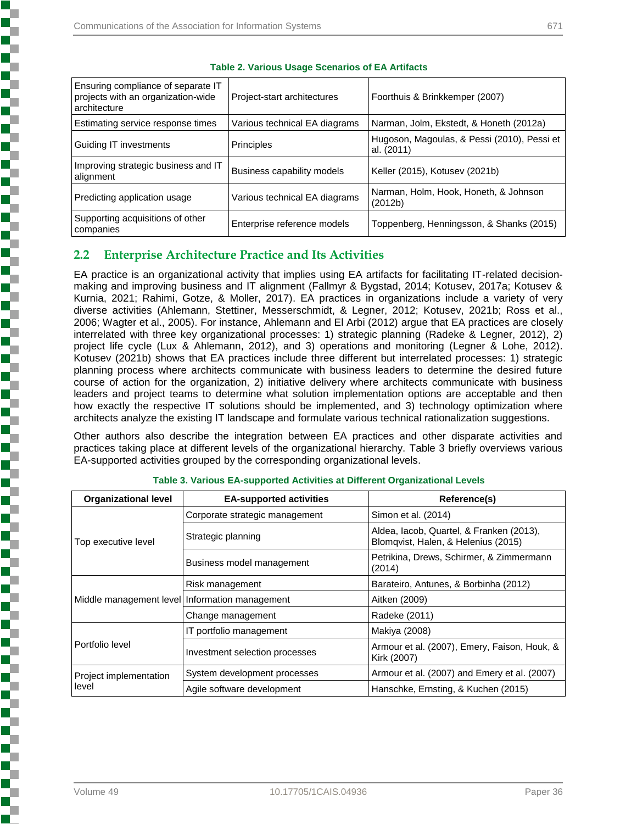| Ensuring compliance of separate IT<br>projects with an organization-wide<br>architecture | Project-start architectures   | Foorthuis & Brinkkemper (2007)                            |  |
|------------------------------------------------------------------------------------------|-------------------------------|-----------------------------------------------------------|--|
| Estimating service response times                                                        | Various technical EA diagrams | Narman, Jolm, Ekstedt, & Honeth (2012a)                   |  |
| Guiding IT investments                                                                   | Principles                    | Hugoson, Magoulas, & Pessi (2010), Pessi et<br>al. (2011) |  |
| Improving strategic business and IT<br>alignment                                         | Business capability models    | Keller (2015), Kotusev (2021b)                            |  |
| Predicting application usage                                                             | Various technical EA diagrams | Narman, Holm, Hook, Honeth, & Johnson<br>(2012b)          |  |
| Supporting acquisitions of other<br>companies                                            | Enterprise reference models   | Toppenberg, Henningsson, & Shanks (2015)                  |  |

#### **Table 2. Various Usage Scenarios of EA Artifacts**

## **2.2 Enterprise Architecture Practice and Its Activities**

EA practice is an organizational activity that implies using EA artifacts for facilitating IT-related decisionmaking and improving business and IT alignment (Fallmyr & Bygstad, 2014; Kotusev, 2017a; Kotusev & Kurnia, 2021; Rahimi, Gotze, & Moller, 2017). EA practices in organizations include a variety of very diverse activities (Ahlemann, Stettiner, Messerschmidt, & Legner, 2012; Kotusev, 2021b; Ross et al., 2006; Wagter et al., 2005). For instance, Ahlemann and El Arbi (2012) argue that EA practices are closely interrelated with three key organizational processes: 1) strategic planning (Radeke & Legner, 2012), 2) project life cycle (Lux & Ahlemann, 2012), and 3) operations and monitoring (Legner & Lohe, 2012). Kotusev (2021b) shows that EA practices include three different but interrelated processes: 1) strategic planning process where architects communicate with business leaders to determine the desired future course of action for the organization, 2) initiative delivery where architects communicate with business leaders and project teams to determine what solution implementation options are acceptable and then how exactly the respective IT solutions should be implemented, and 3) technology optimization where architects analyze the existing IT landscape and formulate various technical rationalization suggestions.

Other authors also describe the integration between EA practices and other disparate activities and practices taking place at different levels of the organizational hierarchy. Table 3 briefly overviews various EA-supported activities grouped by the corresponding organizational levels.

| <b>Organizational level</b>                    | <b>EA-supported activities</b> | Reference(s)                                                                    |  |
|------------------------------------------------|--------------------------------|---------------------------------------------------------------------------------|--|
|                                                | Corporate strategic management | Simon et al. (2014)                                                             |  |
| Top executive level                            | Strategic planning             | Aldea, Iacob, Quartel, & Franken (2013),<br>Blomqvist, Halen, & Helenius (2015) |  |
|                                                | Business model management      | Petrikina, Drews, Schirmer, & Zimmermann<br>(2014)                              |  |
|                                                | Risk management                | Barateiro, Antunes, & Borbinha (2012)                                           |  |
| Middle management level Information management |                                | Aitken (2009)                                                                   |  |
|                                                | Change management              | Radeke (2011)                                                                   |  |
|                                                | IT portfolio management        | Makiya (2008)                                                                   |  |
| Portfolio level                                | Investment selection processes | Armour et al. (2007), Emery, Faison, Houk, &<br>Kirk (2007)                     |  |
| Project implementation                         | System development processes   | Armour et al. (2007) and Emery et al. (2007)                                    |  |
| level                                          | Agile software development     | Hanschke, Ernsting, & Kuchen (2015)                                             |  |

| Table 3. Various EA-supported Activities at Different Organizational Levels |  |
|-----------------------------------------------------------------------------|--|
|                                                                             |  |

医皮肤病 医皮肤病 医皮肤病 医皮肤病 医心脏病 医心脏病 医心脏病

ì

į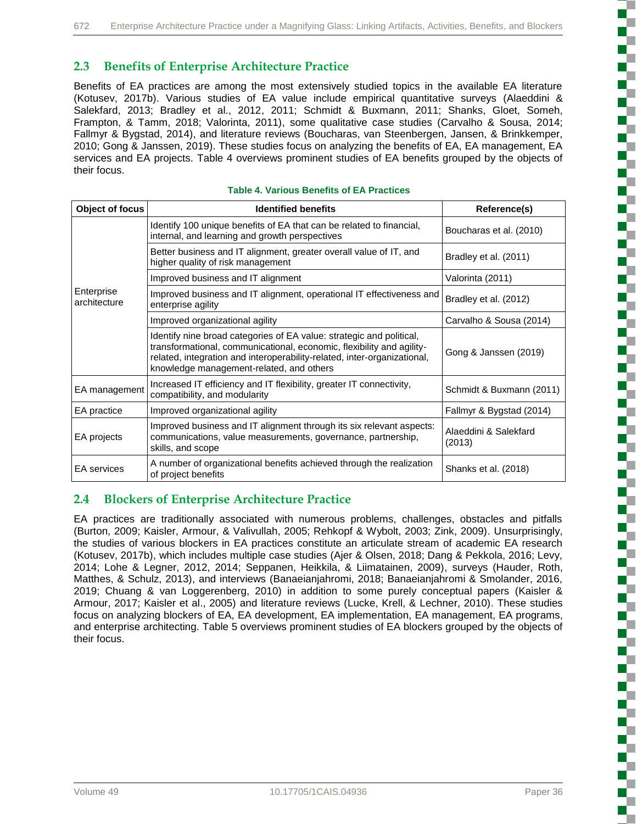## **2.3 Benefits of Enterprise Architecture Practice**

Benefits of EA practices are among the most extensively studied topics in the available EA literature (Kotusev, 2017b). Various studies of EA value include empirical quantitative surveys (Alaeddini & Salekfard, 2013; Bradley et al., 2012, 2011; Schmidt & Buxmann, 2011; Shanks, Gloet, Someh, Frampton, & Tamm, 2018; Valorinta, 2011), some qualitative case studies (Carvalho & Sousa, 2014; Fallmyr & Bygstad, 2014), and literature reviews (Boucharas, van Steenbergen, Jansen, & Brinkkemper, 2010; Gong & Janssen, 2019). These studies focus on analyzing the benefits of EA, EA management, EA services and EA projects. Table 4 overviews prominent studies of EA benefits grouped by the objects of their focus.

| Object of focus            | <b>Identified benefits</b>                                                                                                                                                                                                                                            | Reference(s)                    |
|----------------------------|-----------------------------------------------------------------------------------------------------------------------------------------------------------------------------------------------------------------------------------------------------------------------|---------------------------------|
|                            | Identify 100 unique benefits of EA that can be related to financial,<br>internal, and learning and growth perspectives                                                                                                                                                | Boucharas et al. (2010)         |
|                            | Better business and IT alignment, greater overall value of IT, and<br>higher quality of risk management                                                                                                                                                               | Bradley et al. (2011)           |
|                            | Improved business and IT alignment                                                                                                                                                                                                                                    | Valorinta (2011)                |
| Enterprise<br>architecture | Improved business and IT alignment, operational IT effectiveness and<br>enterprise agility                                                                                                                                                                            | Bradley et al. (2012)           |
|                            | Improved organizational agility                                                                                                                                                                                                                                       | Carvalho & Sousa (2014)         |
|                            | Identify nine broad categories of EA value: strategic and political,<br>transformational, communicational, economic, flexibility and agility-<br>related, integration and interoperability-related, inter-organizational,<br>knowledge management-related, and others | Gong & Janssen (2019)           |
| EA management              | Increased IT efficiency and IT flexibility, greater IT connectivity,<br>compatibility, and modularity                                                                                                                                                                 | Schmidt & Buxmann (2011)        |
| EA practice                | Improved organizational agility                                                                                                                                                                                                                                       | Fallmyr & Bygstad (2014)        |
| EA projects                | Improved business and IT alignment through its six relevant aspects:<br>communications, value measurements, governance, partnership,<br>skills, and scope                                                                                                             | Alaeddini & Salekfard<br>(2013) |
| <b>EA</b> services         | A number of organizational benefits achieved through the realization<br>of project benefits                                                                                                                                                                           | Shanks et al. (2018)            |

#### **Table 4. Various Benefits of EA Practices**

### **2.4 Blockers of Enterprise Architecture Practice**

EA practices are traditionally associated with numerous problems, challenges, obstacles and pitfalls (Burton, 2009; Kaisler, Armour, & Valivullah, 2005; Rehkopf & Wybolt, 2003; Zink, 2009). Unsurprisingly, the studies of various blockers in EA practices constitute an articulate stream of academic EA research (Kotusev, 2017b), which includes multiple case studies (Ajer & Olsen, 2018; Dang & Pekkola, 2016; Levy, 2014; Lohe & Legner, 2012, 2014; Seppanen, Heikkila, & Liimatainen, 2009), surveys (Hauder, Roth, Matthes, & Schulz, 2013), and interviews (Banaeianjahromi, 2018; Banaeianjahromi & Smolander, 2016, 2019; Chuang & van Loggerenberg, 2010) in addition to some purely conceptual papers (Kaisler & Armour, 2017; Kaisler et al., 2005) and literature reviews (Lucke, Krell, & Lechner, 2010). These studies focus on analyzing blockers of EA, EA development, EA implementation, EA management, EA programs, and enterprise architecting. Table 5 overviews prominent studies of EA blockers grouped by the objects of their focus.

l

2

ζ

ì

こうかい こうこうこう

E

Ŝ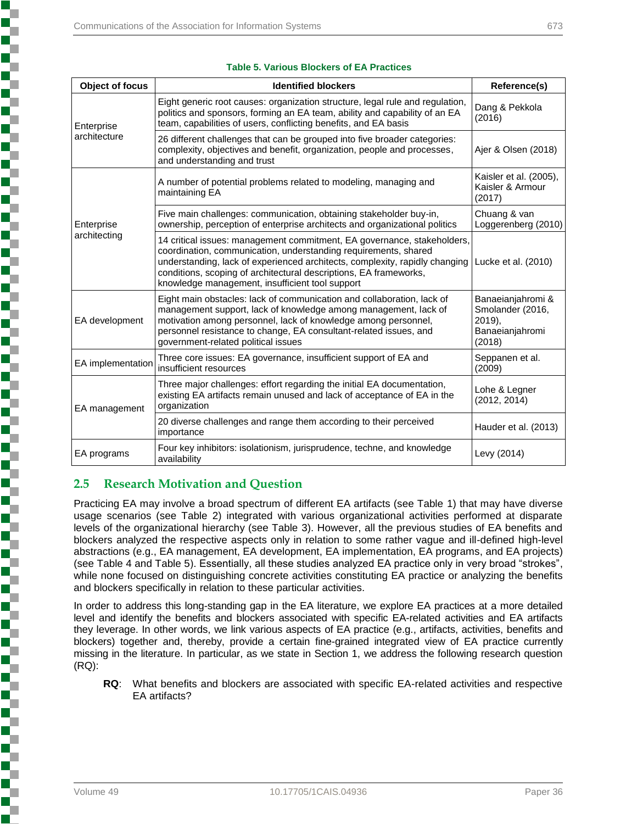| Object of focus            | <b>Identified blockers</b>                                                                                                                                                                                                                                                                                                                        | Reference(s)                                                                 |
|----------------------------|---------------------------------------------------------------------------------------------------------------------------------------------------------------------------------------------------------------------------------------------------------------------------------------------------------------------------------------------------|------------------------------------------------------------------------------|
| Enterprise<br>architecture | Eight generic root causes: organization structure, legal rule and regulation,<br>politics and sponsors, forming an EA team, ability and capability of an EA<br>team, capabilities of users, conflicting benefits, and EA basis                                                                                                                    | Dang & Pekkola<br>(2016)                                                     |
|                            | 26 different challenges that can be grouped into five broader categories:<br>complexity, objectives and benefit, organization, people and processes,<br>and understanding and trust                                                                                                                                                               | Ajer & Olsen (2018)                                                          |
|                            | A number of potential problems related to modeling, managing and<br>maintaining EA                                                                                                                                                                                                                                                                | Kaisler et al. (2005),<br>Kaisler & Armour<br>(2017)                         |
| Enterprise                 | Five main challenges: communication, obtaining stakeholder buy-in,<br>ownership, perception of enterprise architects and organizational politics                                                                                                                                                                                                  | Chuang & van<br>Loggerenberg (2010)                                          |
| architecting               | 14 critical issues: management commitment, EA governance, stakeholders,<br>coordination, communication, understanding requirements, shared<br>understanding, lack of experienced architects, complexity, rapidly changing<br>conditions, scoping of architectural descriptions, EA frameworks,<br>knowledge management, insufficient tool support | Lucke et al. (2010)                                                          |
| EA development             | Eight main obstacles: lack of communication and collaboration, lack of<br>management support, lack of knowledge among management, lack of<br>motivation among personnel, lack of knowledge among personnel,<br>personnel resistance to change, EA consultant-related issues, and<br>government-related political issues                           | Banaeianjahromi &<br>Smolander (2016,<br>2019),<br>Banaeianjahromi<br>(2018) |
| EA implementation          | Three core issues: EA governance, insufficient support of EA and<br>insufficient resources                                                                                                                                                                                                                                                        | Seppanen et al.<br>(2009)                                                    |
| EA management              | Three major challenges: effort regarding the initial EA documentation,<br>existing EA artifacts remain unused and lack of acceptance of EA in the<br>organization                                                                                                                                                                                 | Lohe & Legner<br>(2012, 2014)                                                |
|                            | 20 diverse challenges and range them according to their perceived<br>importance                                                                                                                                                                                                                                                                   | Hauder et al. (2013)                                                         |
| EA programs                | Four key inhibitors: isolationism, jurisprudence, techne, and knowledge<br>availability                                                                                                                                                                                                                                                           | Levy (2014)                                                                  |

#### **Table 5. Various Blockers of EA Practices**

## **2.5 Research Motivation and Question**

Practicing EA may involve a broad spectrum of different EA artifacts (see Table 1) that may have diverse usage scenarios (see Table 2) integrated with various organizational activities performed at disparate levels of the organizational hierarchy (see Table 3). However, all the previous studies of EA benefits and blockers analyzed the respective aspects only in relation to some rather vague and ill-defined high-level abstractions (e.g., EA management, EA development, EA implementation, EA programs, and EA projects) (see Table 4 and Table 5). Essentially, all these studies analyzed EA practice only in very broad "strokes", while none focused on distinguishing concrete activities constituting EA practice or analyzing the benefits and blockers specifically in relation to these particular activities.

In order to address this long-standing gap in the EA literature, we explore EA practices at a more detailed level and identify the benefits and blockers associated with specific EA-related activities and EA artifacts they leverage. In other words, we link various aspects of EA practice (e.g., artifacts, activities, benefits and blockers) together and, thereby, provide a certain fine-grained integrated view of EA practice currently missing in the literature. In particular, as we state in Section 1, we address the following research question (RQ):

**RQ**: What benefits and blockers are associated with specific EA-related activities and respective EA artifacts?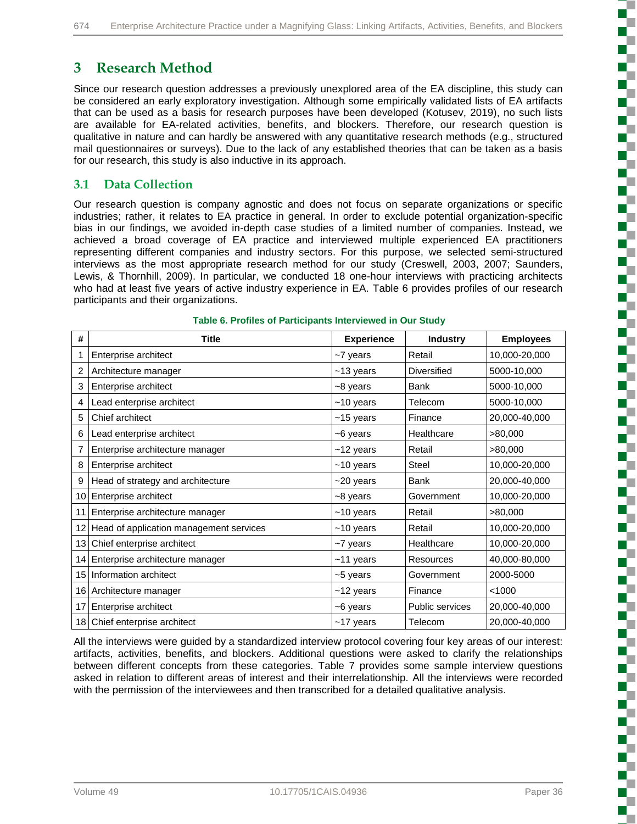## **3 Research Method**

Since our research question addresses a previously unexplored area of the EA discipline, this study can be considered an early exploratory investigation. Although some empirically validated lists of EA artifacts that can be used as a basis for research purposes have been developed (Kotusev, 2019), no such lists are available for EA-related activities, benefits, and blockers. Therefore, our research question is qualitative in nature and can hardly be answered with any quantitative research methods (e.g., structured mail questionnaires or surveys). Due to the lack of any established theories that can be taken as a basis for our research, this study is also inductive in its approach.

## **3.1 Data Collection**

Our research question is company agnostic and does not focus on separate organizations or specific industries; rather, it relates to EA practice in general. In order to exclude potential organization-specific bias in our findings, we avoided in-depth case studies of a limited number of companies. Instead, we achieved a broad coverage of EA practice and interviewed multiple experienced EA practitioners representing different companies and industry sectors. For this purpose, we selected semi-structured interviews as the most appropriate research method for our study (Creswell, 2003, 2007; Saunders, Lewis, & Thornhill, 2009). In particular, we conducted 18 one-hour interviews with practicing architects who had at least five years of active industry experience in EA. Table 6 provides profiles of our research participants and their organizations.

| #               | <b>Title</b>                            | <b>Experience</b> | <b>Industry</b>        | <b>Employees</b> |
|-----------------|-----------------------------------------|-------------------|------------------------|------------------|
| 1               | Enterprise architect                    | ~7 years          | Retail                 | 10,000-20,000    |
| 2               | Architecture manager                    | $~13$ years       | <b>Diversified</b>     | 5000-10,000      |
| 3               | Enterprise architect                    | ~8 years          | Bank                   | 5000-10,000      |
| 4               | Lead enterprise architect               | $~10$ years       | Telecom                | 5000-10,000      |
| 5               | Chief architect                         | $~15$ years       | Finance                | 20,000-40,000    |
| 6               | Lead enterprise architect               | ~6 years          | Healthcare             | >80,000          |
| 7               | Enterprise architecture manager         | $~12$ years       | Retail                 | >80,000          |
| 8               | Enterprise architect                    | $~10$ years       | Steel                  | 10,000-20,000    |
| 9               | Head of strategy and architecture       | $~20$ years       | <b>Bank</b>            | 20,000-40,000    |
| 10 <sub>1</sub> | Enterprise architect                    | ~8 years          | Government             | 10,000-20,000    |
| 11              | Enterprise architecture manager         | $~10$ years       | Retail                 | >80,000          |
| 12 <sub>1</sub> | Head of application management services | $~10$ years       | Retail                 | 10,000-20,000    |
| 13 <sub>l</sub> | Chief enterprise architect              | ~7 years          | Healthcare             | 10,000-20,000    |
| 14              | Enterprise architecture manager         | $~11$ years       | <b>Resources</b>       | 40,000-80,000    |
|                 | 15 Information architect                | ~5 years          | Government             | 2000-5000        |
|                 | 16 Architecture manager                 | $~12$ years       | Finance                | < 1000           |
| 17              | Enterprise architect                    | ~6 years          | <b>Public services</b> | 20,000-40,000    |
|                 | 18 Chief enterprise architect           | $~17$ years       | Telecom                | 20,000-40,000    |

#### **Table 6. Profiles of Participants Interviewed in Our Study**

All the interviews were guided by a standardized interview protocol covering four key areas of our interest: artifacts, activities, benefits, and blockers. Additional questions were asked to clarify the relationships between different concepts from these categories. Table 7 provides some sample interview questions asked in relation to different areas of interest and their interrelationship. All the interviews were recorded with the permission of the interviewees and then transcribed for a detailed qualitative analysis.

こうしょう こうこうこう こうこうこう

ŝ

ì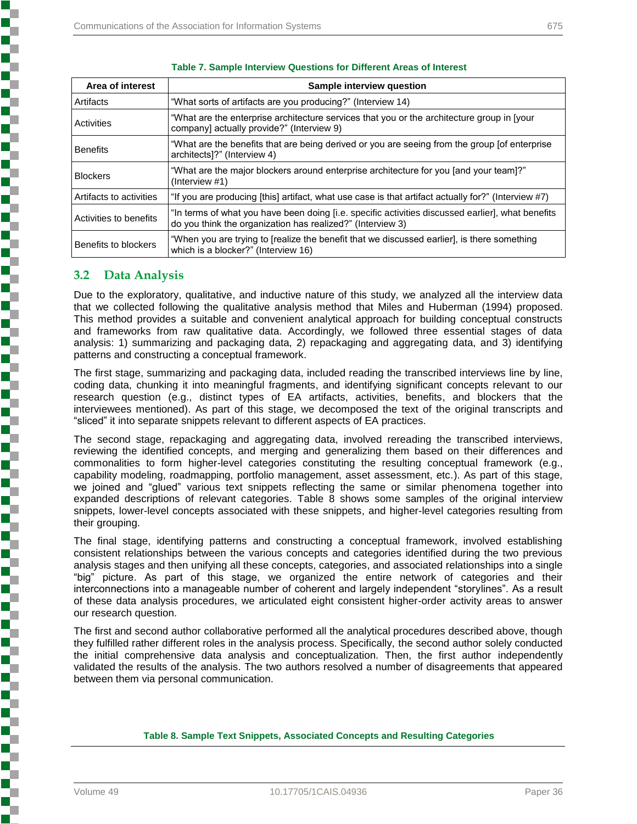| Area of interest        | Sample interview question                                                                                                                                       |
|-------------------------|-----------------------------------------------------------------------------------------------------------------------------------------------------------------|
| Artifacts               | "What sorts of artifacts are you producing?" (Interview 14)                                                                                                     |
| Activities              | "What are the enterprise architecture services that you or the architecture group in [your<br>company] actually provide?" (Interview 9)                         |
| <b>Benefits</b>         | "What are the benefits that are being derived or you are seeing from the group [of enterprise<br>architects]?" (Interview 4)                                    |
| <b>Blockers</b>         | "What are the major blockers around enterprise architecture for you [and your team]?"<br>(Interview #1)                                                         |
| Artifacts to activities | "If you are producing [this] artifact, what use case is that artifact actually for?" (Interview #7)                                                             |
| Activities to benefits  | "In terms of what you have been doing [i.e. specific activities discussed earlier], what benefits<br>do you think the organization has realized?" (Interview 3) |
| Benefits to blockers    | "When you are trying to [realize the benefit that we discussed earlier], is there something<br>which is a blocker?" (Interview 16)                              |

#### **Table 7. Sample Interview Questions for Different Areas of Interest**

### **3.2 Data Analysis**

**Notes the company's company's company's company's company's company's company's company's company's company's** 

Due to the exploratory, qualitative, and inductive nature of this study, we analyzed all the interview data that we collected following the qualitative analysis method that Miles and Huberman (1994) proposed. This method provides a suitable and convenient analytical approach for building conceptual constructs and frameworks from raw qualitative data. Accordingly, we followed three essential stages of data analysis: 1) summarizing and packaging data, 2) repackaging and aggregating data, and 3) identifying patterns and constructing a conceptual framework.

The first stage, summarizing and packaging data, included reading the transcribed interviews line by line, coding data, chunking it into meaningful fragments, and identifying significant concepts relevant to our research question (e.g., distinct types of EA artifacts, activities, benefits, and blockers that the interviewees mentioned). As part of this stage, we decomposed the text of the original transcripts and "sliced" it into separate snippets relevant to different aspects of EA practices.

The second stage, repackaging and aggregating data, involved rereading the transcribed interviews, reviewing the identified concepts, and merging and generalizing them based on their differences and commonalities to form higher-level categories constituting the resulting conceptual framework (e.g., capability modeling, roadmapping, portfolio management, asset assessment, etc.). As part of this stage, we joined and "glued" various text snippets reflecting the same or similar phenomena together into expanded descriptions of relevant categories. Table 8 shows some samples of the original interview snippets, lower-level concepts associated with these snippets, and higher-level categories resulting from their grouping.

The final stage, identifying patterns and constructing a conceptual framework, involved establishing consistent relationships between the various concepts and categories identified during the two previous analysis stages and then unifying all these concepts, categories, and associated relationships into a single "big" picture. As part of this stage, we organized the entire network of categories and their interconnections into a manageable number of coherent and largely independent "storylines". As a result of these data analysis procedures, we articulated eight consistent higher-order activity areas to answer our research question.

The first and second author collaborative performed all the analytical procedures described above, though they fulfilled rather different roles in the analysis process. Specifically, the second author solely conducted the initial comprehensive data analysis and conceptualization. Then, the first author independently validated the results of the analysis. The two authors resolved a number of disagreements that appeared between them via personal communication.

#### **Table 8. Sample Text Snippets, Associated Concepts and Resulting Categories**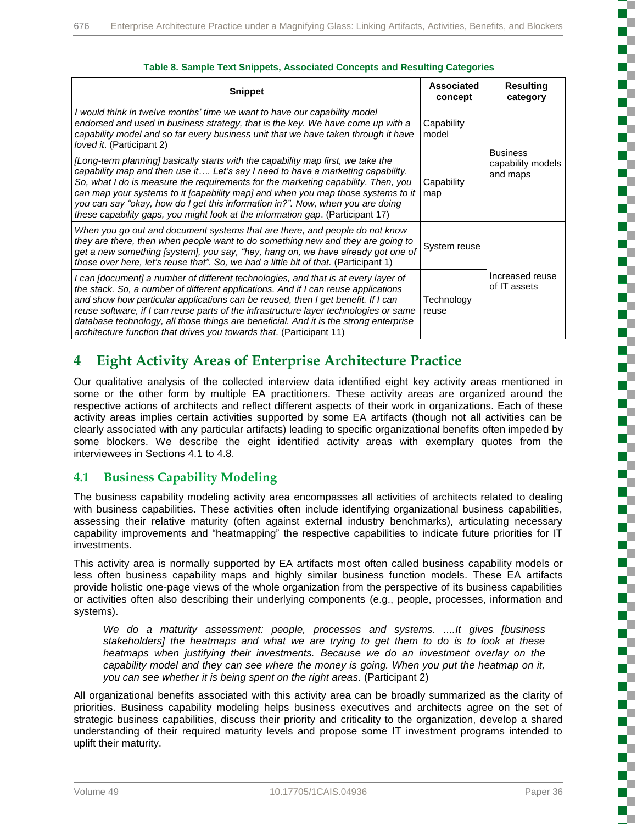| <b>Snippet</b>                                                                                                                                                                                                                                                                                                                                                                                                                                                                                                         | Associated<br>concept | <b>Resulting</b><br>category                     |
|------------------------------------------------------------------------------------------------------------------------------------------------------------------------------------------------------------------------------------------------------------------------------------------------------------------------------------------------------------------------------------------------------------------------------------------------------------------------------------------------------------------------|-----------------------|--------------------------------------------------|
| I would think in twelve months' time we want to have our capability model<br>endorsed and used in business strategy, that is the key. We have come up with a<br>capability model and so far every business unit that we have taken through it have<br>loved it. (Participant 2)                                                                                                                                                                                                                                        | Capability<br>model   |                                                  |
| [Long-term planning] basically starts with the capability map first, we take the<br>capability map and then use it Let's say I need to have a marketing capability.<br>So, what I do is measure the requirements for the marketing capability. Then, you<br>can map your systems to it [capability map] and when you map those systems to it<br>you can say "okay, how do I get this information in?". Now, when you are doing<br>these capability gaps, you might look at the information gap. (Participant 17)       | Capability<br>map     | <b>Business</b><br>capability models<br>and maps |
| When you go out and document systems that are there, and people do not know<br>they are there, then when people want to do something new and they are going to<br>get a new something [system], you say, "hey, hang on, we have already got one of<br>those over here, let's reuse that". So, we had a little bit of that. (Participant 1)                                                                                                                                                                             | System reuse          |                                                  |
| I can [document] a number of different technologies, and that is at every layer of<br>the stack. So, a number of different applications. And if I can reuse applications<br>and show how particular applications can be reused, then I get benefit. If I can<br>reuse software, if I can reuse parts of the infrastructure layer technologies or same<br>database technology, all those things are beneficial. And it is the strong enterprise<br>architecture function that drives you towards that. (Participant 11) | Technology<br>reuse   | Increased reuse<br>of IT assets                  |

#### **Table 8. Sample Text Snippets, Associated Concepts and Resulting Categories**

## **4 Eight Activity Areas of Enterprise Architecture Practice**

Our qualitative analysis of the collected interview data identified eight key activity areas mentioned in some or the other form by multiple EA practitioners. These activity areas are organized around the respective actions of architects and reflect different aspects of their work in organizations. Each of these activity areas implies certain activities supported by some EA artifacts (though not all activities can be clearly associated with any particular artifacts) leading to specific organizational benefits often impeded by some blockers. We describe the eight identified activity areas with exemplary quotes from the interviewees in Sections 4.1 to 4.8.

## **4.1 Business Capability Modeling**

The business capability modeling activity area encompasses all activities of architects related to dealing with business capabilities. These activities often include identifying organizational business capabilities, assessing their relative maturity (often against external industry benchmarks), articulating necessary capability improvements and "heatmapping" the respective capabilities to indicate future priorities for IT investments.

This activity area is normally supported by EA artifacts most often called business capability models or less often business capability maps and highly similar business function models. These EA artifacts provide holistic one-page views of the whole organization from the perspective of its business capabilities or activities often also describing their underlying components (e.g., people, processes, information and systems).

*We do a maturity assessment: people, processes and systems. ....It gives [business stakeholders] the heatmaps and what we are trying to get them to do is to look at these heatmaps when justifying their investments. Because we do an investment overlay on the capability model and they can see where the money is going. When you put the heatmap on it, you can see whether it is being spent on the right areas.* (Participant 2)

All organizational benefits associated with this activity area can be broadly summarized as the clarity of priorities. Business capability modeling helps business executives and architects agree on the set of strategic business capabilities, discuss their priority and criticality to the organization, develop a shared understanding of their required maturity levels and propose some IT investment programs intended to uplift their maturity.

ì

**このことがあると、このことがあるということがある。このことは、このことがあるということがある。 このことは、このことは、このことは、このことは、このことは、このことは、このことは、このことは、このことは、このことは、この**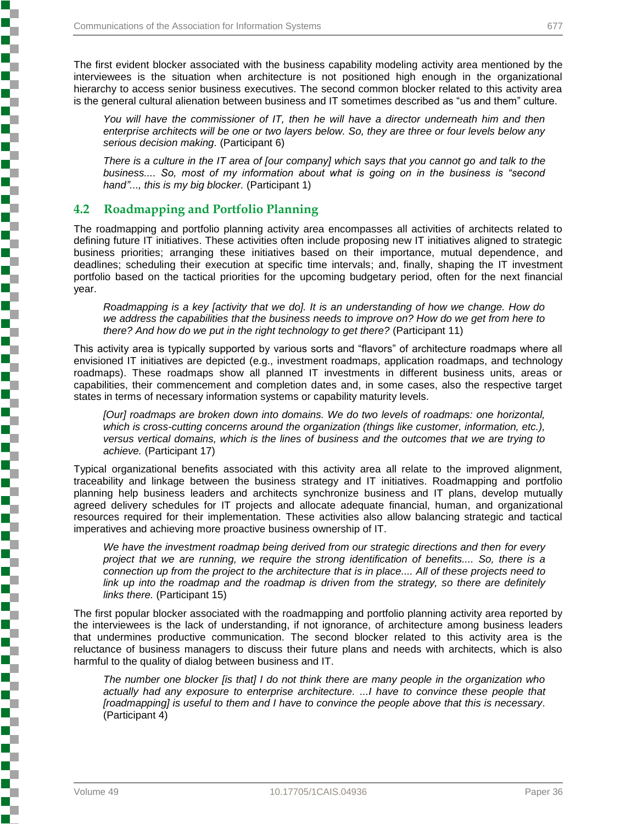The first evident blocker associated with the business capability modeling activity area mentioned by the interviewees is the situation when architecture is not positioned high enough in the organizational hierarchy to access senior business executives. The second common blocker related to this activity area is the general cultural alienation between business and IT sometimes described as "us and them" culture.

You will have the commissioner of IT, then he will have a director underneath him and then *enterprise architects will be one or two layers below. So, they are three or four levels below any serious decision making.* (Participant 6)

*There is a culture in the IT area of [our company] which says that you cannot go and talk to the business.... So, most of my information about what is going on in the business is "second hand"..., this is my big blocker.* (Participant 1)

### **4.2 Roadmapping and Portfolio Planning**

The roadmapping and portfolio planning activity area encompasses all activities of architects related to defining future IT initiatives. These activities often include proposing new IT initiatives aligned to strategic business priorities; arranging these initiatives based on their importance, mutual dependence, and deadlines; scheduling their execution at specific time intervals; and, finally, shaping the IT investment portfolio based on the tactical priorities for the upcoming budgetary period, often for the next financial year.

*Roadmapping is a key [activity that we do]. It is an understanding of how we change. How do we address the capabilities that the business needs to improve on? How do we get from here to there? And how do we put in the right technology to get there?* (Participant 11)

This activity area is typically supported by various sorts and "flavors" of architecture roadmaps where all envisioned IT initiatives are depicted (e.g., investment roadmaps, application roadmaps, and technology roadmaps). These roadmaps show all planned IT investments in different business units, areas or capabilities, their commencement and completion dates and, in some cases, also the respective target states in terms of necessary information systems or capability maturity levels.

*[Our] roadmaps are broken down into domains. We do two levels of roadmaps: one horizontal,*  which is cross-cutting concerns around the organization (things like customer, information, etc.), *versus vertical domains, which is the lines of business and the outcomes that we are trying to achieve.* (Participant 17)

Typical organizational benefits associated with this activity area all relate to the improved alignment, traceability and linkage between the business strategy and IT initiatives. Roadmapping and portfolio planning help business leaders and architects synchronize business and IT plans, develop mutually agreed delivery schedules for IT projects and allocate adequate financial, human, and organizational resources required for their implementation. These activities also allow balancing strategic and tactical imperatives and achieving more proactive business ownership of IT.

*We have the investment roadmap being derived from our strategic directions and then for every project that we are running, we require the strong identification of benefits.... So, there is a connection up from the project to the architecture that is in place.... All of these projects need to link up into the roadmap and the roadmap is driven from the strategy, so there are definitely links there.* (Participant 15)

The first popular blocker associated with the roadmapping and portfolio planning activity area reported by the interviewees is the lack of understanding, if not ignorance, of architecture among business leaders that undermines productive communication. The second blocker related to this activity area is the reluctance of business managers to discuss their future plans and needs with architects, which is also harmful to the quality of dialog between business and IT.

*The number one blocker [is that] I do not think there are many people in the organization who actually had any exposure to enterprise architecture. ...I have to convince these people that [roadmapping] is useful to them and I have to convince the people above that this is necessary.* (Participant 4)

**Production of the production of the production of the production of the company's company's company's company's company's company's company's company's company's company's company's company's company's company's company's** 

į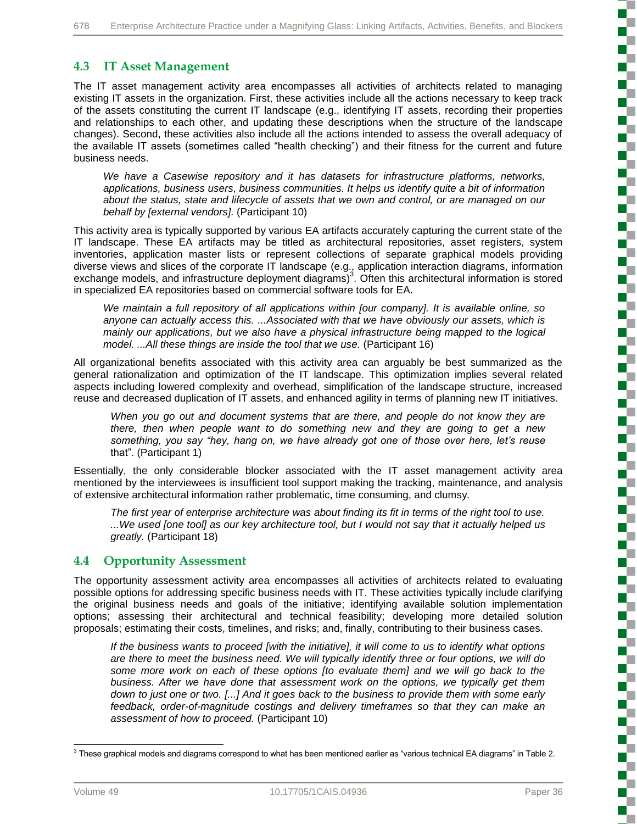## **4.3 IT Asset Management**

The IT asset management activity area encompasses all activities of architects related to managing existing IT assets in the organization. First, these activities include all the actions necessary to keep track of the assets constituting the current IT landscape (e.g., identifying IT assets, recording their properties and relationships to each other, and updating these descriptions when the structure of the landscape changes). Second, these activities also include all the actions intended to assess the overall adequacy of the available IT assets (sometimes called "health checking") and their fitness for the current and future business needs.

*We have a Casewise repository and it has datasets for infrastructure platforms, networks, applications, business users, business communities. It helps us identify quite a bit of information about the status, state and lifecycle of assets that we own and control, or are managed on our behalf by [external vendors].* (Participant 10)

This activity area is typically supported by various EA artifacts accurately capturing the current state of the IT landscape. These EA artifacts may be titled as architectural repositories, asset registers, system inventories, application master lists or represent collections of separate graphical models providing diverse views and slices of the corporate IT landscape (e.g., application interaction diagrams, information exchange models, and infrastructure deployment diagrams)<sup>3</sup>. Often this architectural information is stored in specialized EA repositories based on commercial software tools for EA.

*We maintain a full repository of all applications within [our company]. It is available online, so anyone can actually access this. ...Associated with that we have obviously our assets, which is mainly our applications, but we also have a physical infrastructure being mapped to the logical model. ...All these things are inside the tool that we use.* (Participant 16)

All organizational benefits associated with this activity area can arguably be best summarized as the general rationalization and optimization of the IT landscape. This optimization implies several related aspects including lowered complexity and overhead, simplification of the landscape structure, increased reuse and decreased duplication of IT assets, and enhanced agility in terms of planning new IT initiatives.

*When you go out and document systems that are there, and people do not know they are there, then when people want to do something new and they are going to get a new something, you say "hey, hang on, we have already got one of those over here, let's reuse*  that". (Participant 1)

Essentially, the only considerable blocker associated with the IT asset management activity area mentioned by the interviewees is insufficient tool support making the tracking, maintenance, and analysis of extensive architectural information rather problematic, time consuming, and clumsy.

*The first year of enterprise architecture was about finding its fit in terms of the right tool to use. ...We used [one tool] as our key architecture tool, but I would not say that it actually helped us greatly.* (Participant 18)

### **4.4 Opportunity Assessment**

The opportunity assessment activity area encompasses all activities of architects related to evaluating possible options for addressing specific business needs with IT. These activities typically include clarifying the original business needs and goals of the initiative; identifying available solution implementation options; assessing their architectural and technical feasibility; developing more detailed solution proposals; estimating their costs, timelines, and risks; and, finally, contributing to their business cases.

*If the business wants to proceed [with the initiative], it will come to us to identify what options are there to meet the business need. We will typically identify three or four options, we will do some more work on each of these options [to evaluate them] and we will go back to the business. After we have done that assessment work on the options, we typically get them down to just one or two. [...] And it goes back to the business to provide them with some early feedback, order-of-magnitude costings and delivery timeframes so that they can make an assessment of how to proceed.* (Participant 10)

 3 These graphical models and diagrams correspond to what has been mentioned earlier as "various technical EA diagrams" in Table 2.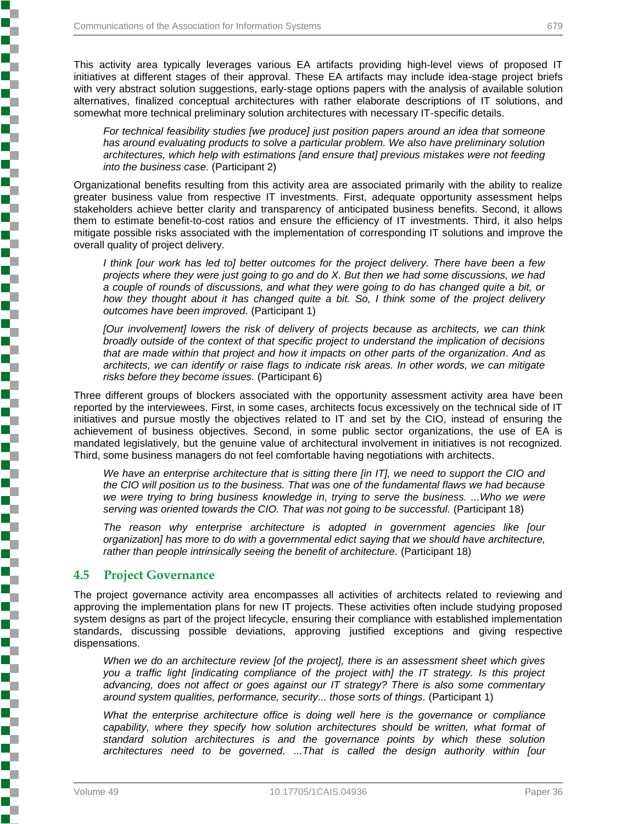This activity area typically leverages various EA artifacts providing high-level views of proposed IT initiatives at different stages of their approval. These EA artifacts may include idea-stage project briefs with very abstract solution suggestions, early-stage options papers with the analysis of available solution alternatives, finalized conceptual architectures with rather elaborate descriptions of IT solutions, and somewhat more technical preliminary solution architectures with necessary IT-specific details.

*For technical feasibility studies [we produce] just position papers around an idea that someone has around evaluating products to solve a particular problem. We also have preliminary solution architectures, which help with estimations [and ensure that] previous mistakes were not feeding into the business case.* (Participant 2)

Organizational benefits resulting from this activity area are associated primarily with the ability to realize greater business value from respective IT investments. First, adequate opportunity assessment helps stakeholders achieve better clarity and transparency of anticipated business benefits. Second, it allows them to estimate benefit-to-cost ratios and ensure the efficiency of IT investments. Third, it also helps mitigate possible risks associated with the implementation of corresponding IT solutions and improve the overall quality of project delivery.

*I think [our work has led to] better outcomes for the project delivery. There have been a few projects where they were just going to go and do X. But then we had some discussions, we had a couple of rounds of discussions, and what they were going to do has changed quite a bit, or how they thought about it has changed quite a bit. So, I think some of the project delivery outcomes have been improved.* (Participant 1)

*[Our involvement] lowers the risk of delivery of projects because as architects, we can think broadly outside of the context of that specific project to understand the implication of decisions that are made within that project and how it impacts on other parts of the organization. And as architects, we can identify or raise flags to indicate risk areas. In other words, we can mitigate risks before they become issues.* (Participant 6)

Three different groups of blockers associated with the opportunity assessment activity area have been reported by the interviewees. First, in some cases, architects focus excessively on the technical side of IT initiatives and pursue mostly the objectives related to IT and set by the CIO, instead of ensuring the achievement of business objectives. Second, in some public sector organizations, the use of EA is mandated legislatively, but the genuine value of architectural involvement in initiatives is not recognized. Third, some business managers do not feel comfortable having negotiations with architects.

*We have an enterprise architecture that is sitting there [in IT], we need to support the CIO and the CIO will position us to the business. That was one of the fundamental flaws we had because we were trying to bring business knowledge in, trying to serve the business. ...Who we were serving was oriented towards the CIO. That was not going to be successful.* (Participant 18)

*The reason why enterprise architecture is adopted in government agencies like [our organization] has more to do with a governmental edict saying that we should have architecture, rather than people intrinsically seeing the benefit of architecture.* (Participant 18)

### **4.5 Project Governance**

**Contractor Security Contractor Contractor Contractor Contractor** 

The project governance activity area encompasses all activities of architects related to reviewing and approving the implementation plans for new IT projects. These activities often include studying proposed system designs as part of the project lifecycle, ensuring their compliance with established implementation standards, discussing possible deviations, approving justified exceptions and giving respective dispensations.

*When we do an architecture review [of the project], there is an assessment sheet which gives you a traffic light [indicating compliance of the project with] the IT strategy. Is this project advancing, does not affect or goes against our IT strategy? There is also some commentary around system qualities, performance, security... those sorts of things.* (Participant 1)

*What the enterprise architecture office is doing well here is the governance or compliance* capability, where they specify how solution architectures should be written, what format of *standard solution architectures is and the governance points by which these solution architectures need to be governed. ...That is called the design authority within [our*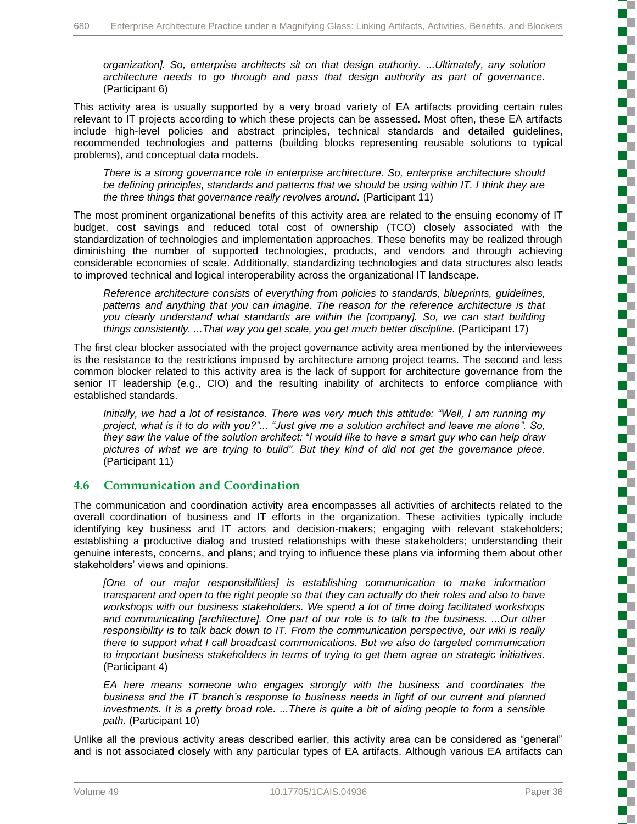*organization]. So, enterprise architects sit on that design authority. ...Ultimately, any solution architecture needs to go through and pass that design authority as part of governance.* (Participant 6)

This activity area is usually supported by a very broad variety of EA artifacts providing certain rules relevant to IT projects according to which these projects can be assessed. Most often, these EA artifacts include high-level policies and abstract principles, technical standards and detailed guidelines, recommended technologies and patterns (building blocks representing reusable solutions to typical problems), and conceptual data models.

*There is a strong governance role in enterprise architecture. So, enterprise architecture should be defining principles, standards and patterns that we should be using within IT. I think they are the three things that governance really revolves around.* (Participant 11)

The most prominent organizational benefits of this activity area are related to the ensuing economy of IT budget, cost savings and reduced total cost of ownership (TCO) closely associated with the standardization of technologies and implementation approaches. These benefits may be realized through diminishing the number of supported technologies, products, and vendors and through achieving considerable economies of scale. Additionally, standardizing technologies and data structures also leads to improved technical and logical interoperability across the organizational IT landscape.

*Reference architecture consists of everything from policies to standards, blueprints, guidelines, patterns and anything that you can imagine. The reason for the reference architecture is that you clearly understand what standards are within the [company]. So, we can start building things consistently. ...That way you get scale, you get much better discipline.* (Participant 17)

The first clear blocker associated with the project governance activity area mentioned by the interviewees is the resistance to the restrictions imposed by architecture among project teams. The second and less common blocker related to this activity area is the lack of support for architecture governance from the senior IT leadership (e.g., CIO) and the resulting inability of architects to enforce compliance with established standards.

*Initially, we had a lot of resistance. There was very much this attitude: "Well, I am running my project, what is it to do with you?"... "Just give me a solution architect and leave me alone". So, they saw the value of the solution architect: "I would like to have a smart guy who can help draw pictures of what we are trying to build". But they kind of did not get the governance piece.*  (Participant 11)

### **4.6 Communication and Coordination**

The communication and coordination activity area encompasses all activities of architects related to the overall coordination of business and IT efforts in the organization. These activities typically include identifying key business and IT actors and decision-makers; engaging with relevant stakeholders; establishing a productive dialog and trusted relationships with these stakeholders; understanding their genuine interests, concerns, and plans; and trying to influence these plans via informing them about other stakeholders' views and opinions.

[One of our major responsibilities] is establishing communication to make information *transparent and open to the right people so that they can actually do their roles and also to have workshops with our business stakeholders. We spend a lot of time doing facilitated workshops and communicating [architecture]. One part of our role is to talk to the business. ...Our other responsibility is to talk back down to IT. From the communication perspective, our wiki is really there to support what I call broadcast communications. But we also do targeted communication to important business stakeholders in terms of trying to get them agree on strategic initiatives.* (Participant 4)

*EA here means someone who engages strongly with the business and coordinates the business and the IT branch's response to business needs in light of our current and planned investments. It is a pretty broad role. ...There is quite a bit of aiding people to form a sensible path.* (Participant 10)

Unlike all the previous activity areas described earlier, this activity area can be considered as "general" and is not associated closely with any particular types of EA artifacts. Although various EA artifacts can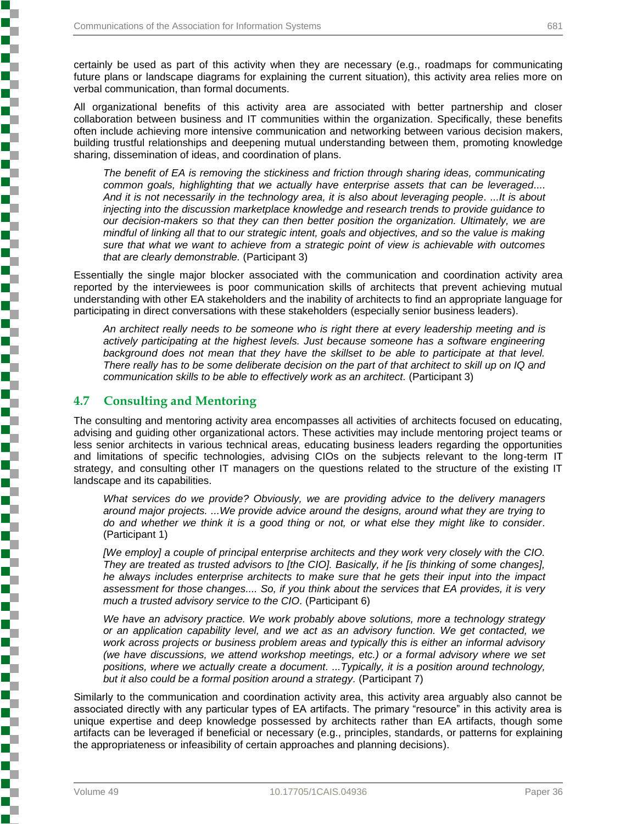certainly be used as part of this activity when they are necessary (e.g., roadmaps for communicating future plans or landscape diagrams for explaining the current situation), this activity area relies more on verbal communication, than formal documents.

All organizational benefits of this activity area are associated with better partnership and closer collaboration between business and IT communities within the organization. Specifically, these benefits often include achieving more intensive communication and networking between various decision makers, building trustful relationships and deepening mutual understanding between them, promoting knowledge sharing, dissemination of ideas, and coordination of plans.

*The benefit of EA is removing the stickiness and friction through sharing ideas, communicating common goals, highlighting that we actually have enterprise assets that can be leveraged.... And it is not necessarily in the technology area, it is also about leveraging people. ...It is about injecting into the discussion marketplace knowledge and research trends to provide guidance to our decision-makers so that they can then better position the organization. Ultimately, we are mindful of linking all that to our strategic intent, goals and objectives, and so the value is making sure that what we want to achieve from a strategic point of view is achievable with outcomes that are clearly demonstrable.* (Participant 3)

Essentially the single major blocker associated with the communication and coordination activity area reported by the interviewees is poor communication skills of architects that prevent achieving mutual understanding with other EA stakeholders and the inability of architects to find an appropriate language for participating in direct conversations with these stakeholders (especially senior business leaders).

*An architect really needs to be someone who is right there at every leadership meeting and is actively participating at the highest levels. Just because someone has a software engineering*  background does not mean that they have the skillset to be able to participate at that level. *There really has to be some deliberate decision on the part of that architect to skill up on IQ and communication skills to be able to effectively work as an architect.* (Participant 3)

## **4.7 Consulting and Mentoring**

しょうこう こうこうこう こうこうこう こうこうこう こうこうこうこう こうこうこうこう こうこうこう

The consulting and mentoring activity area encompasses all activities of architects focused on educating, advising and guiding other organizational actors. These activities may include mentoring project teams or less senior architects in various technical areas, educating business leaders regarding the opportunities and limitations of specific technologies, advising CIOs on the subjects relevant to the long-term IT strategy, and consulting other IT managers on the questions related to the structure of the existing IT landscape and its capabilities.

*What services do we provide? Obviously, we are providing advice to the delivery managers around major projects. ...We provide advice around the designs, around what they are trying to do and whether we think it is a good thing or not, or what else they might like to consider.* (Participant 1)

*[We employ] a couple of principal enterprise architects and they work very closely with the CIO. They are treated as trusted advisors to [the CIO]. Basically, if he [is thinking of some changes],*  he always includes enterprise architects to make sure that he gets their input into the *impact assessment for those changes.... So, if you think about the services that EA provides, it is very much a trusted advisory service to the CIO.* (Participant 6)

*We have an advisory practice. We work probably above solutions, more a technology strategy or an application capability level, and we act as an advisory function. We get contacted, we work across projects or business problem areas and typically this is either an informal advisory (we have discussions, we attend workshop meetings, etc.) or a formal advisory where we set positions, where we actually create a document. ...Typically, it is a position around technology, but it also could be a formal position around a strategy.* (Participant 7)

Similarly to the communication and coordination activity area, this activity area arguably also cannot be associated directly with any particular types of EA artifacts. The primary "resource" in this activity area is unique expertise and deep knowledge possessed by architects rather than EA artifacts, though some artifacts can be leveraged if beneficial or necessary (e.g., principles, standards, or patterns for explaining the appropriateness or infeasibility of certain approaches and planning decisions).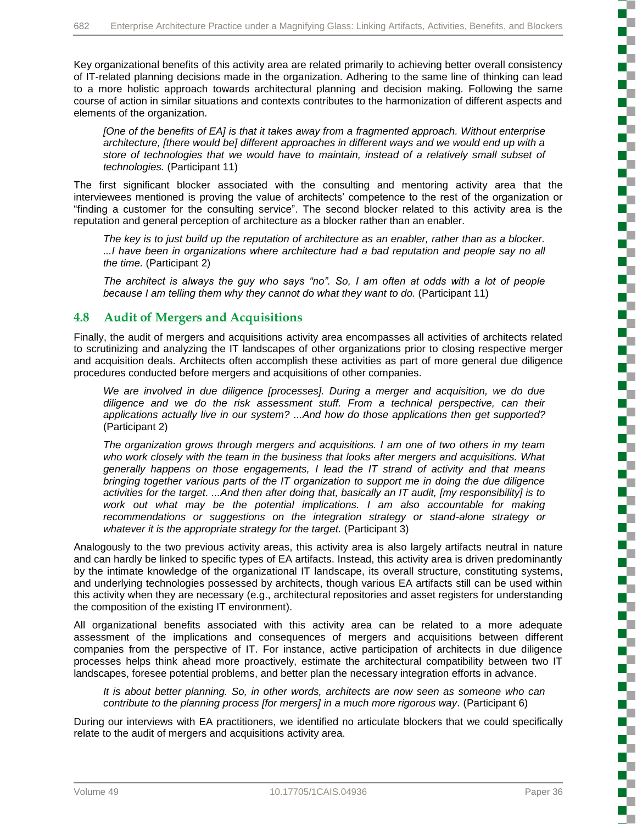Key organizational benefits of this activity area are related primarily to achieving better overall consistency of IT-related planning decisions made in the organization. Adhering to the same line of thinking can lead to a more holistic approach towards architectural planning and decision making. Following the same course of action in similar situations and contexts contributes to the harmonization of different aspects and elements of the organization.

*[One of the benefits of EA] is that it takes away from a fragmented approach. Without enterprise architecture, [there would be] different approaches in different ways and we would end up with a store of technologies that we would have to maintain, instead of a relatively small subset of technologies.* (Participant 11)

The first significant blocker associated with the consulting and mentoring activity area that the interviewees mentioned is proving the value of architects' competence to the rest of the organization or "finding a customer for the consulting service". The second blocker related to this activity area is the reputation and general perception of architecture as a blocker rather than an enabler.

*The key is to just build up the reputation of architecture as an enabler, rather than as a blocker. ...I have been in organizations where architecture had a bad reputation and people say no all the time.* (Participant 2)

*The architect is always the guy who says "no". So, I am often at odds with a lot of people because I am telling them why they cannot do what they want to do.* (Participant 11)

## **4.8 Audit of Mergers and Acquisitions**

Finally, the audit of mergers and acquisitions activity area encompasses all activities of architects related to scrutinizing and analyzing the IT landscapes of other organizations prior to closing respective merger and acquisition deals. Architects often accomplish these activities as part of more general due diligence procedures conducted before mergers and acquisitions of other companies.

*We are involved in due diligence [processes]. During a merger and acquisition, we do due diligence and we do the risk assessment stuff. From a technical perspective, can their applications actually live in our system? ...And how do those applications then get supported?*  (Participant 2)

*The organization grows through mergers and acquisitions. I am one of two others in my team who work closely with the team in the business that looks after mergers and acquisitions. What generally happens on those engagements, I lead the IT strand of activity and that means bringing together various parts of the IT organization to support me in doing the due diligence activities for the target. ...And then after doing that, basically an IT audit, [my responsibility] is to*  work out what may be the potential implications. I am also accountable for making *recommendations or suggestions on the integration strategy or stand-alone strategy or whatever it is the appropriate strategy for the target.* (Participant 3)

Analogously to the two previous activity areas, this activity area is also largely artifacts neutral in nature and can hardly be linked to specific types of EA artifacts. Instead, this activity area is driven predominantly by the intimate knowledge of the organizational IT landscape, its overall structure, constituting systems, and underlying technologies possessed by architects, though various EA artifacts still can be used within this activity when they are necessary (e.g., architectural repositories and asset registers for understanding the composition of the existing IT environment).

All organizational benefits associated with this activity area can be related to a more adequate assessment of the implications and consequences of mergers and acquisitions between different companies from the perspective of IT. For instance, active participation of architects in due diligence processes helps think ahead more proactively, estimate the architectural compatibility between two IT landscapes, foresee potential problems, and better plan the necessary integration efforts in advance.

*It is about better planning. So, in other words, architects are now seen as someone who can contribute to the planning process [for mergers] in a much more rigorous way.* (Participant 6)

During our interviews with EA practitioners, we identified no articulate blockers that we could specifically relate to the audit of mergers and acquisitions activity area.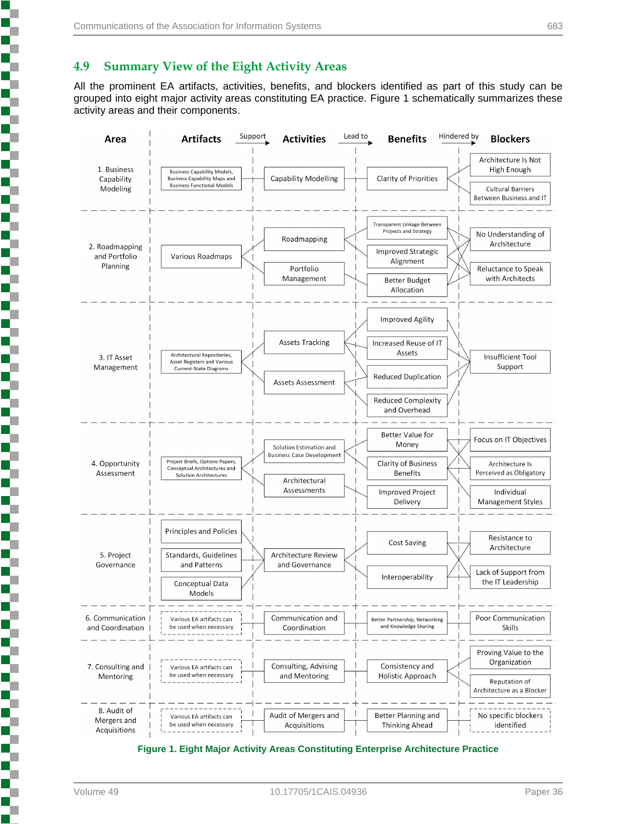### **4.9 Summary View of the Eight Activity Areas**

All the prominent EA artifacts, activities, benefits, and blockers identified as part of this study can be grouped into eight major activity areas constituting EA practice. Figure 1 schematically summarizes these activity areas and their components.



**Figure 1. Eight Major Activity Areas Constituting Enterprise Architecture Practice**

ī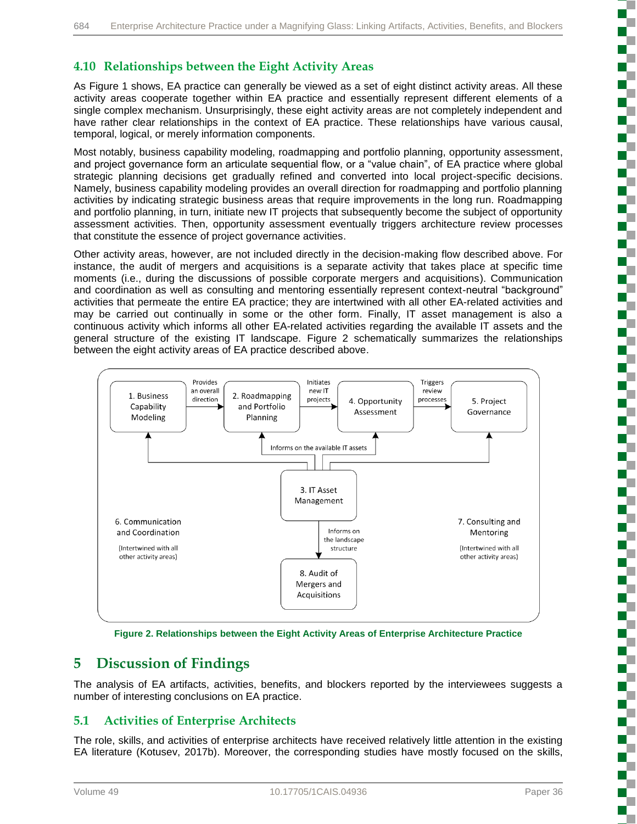## **4.10 Relationships between the Eight Activity Areas**

As Figure 1 shows, EA practice can generally be viewed as a set of eight distinct activity areas. All these activity areas cooperate together within EA practice and essentially represent different elements of a single complex mechanism. Unsurprisingly, these eight activity areas are not completely independent and have rather clear relationships in the context of EA practice. These relationships have various causal, temporal, logical, or merely information components.

Most notably, business capability modeling, roadmapping and portfolio planning, opportunity assessment, and project governance form an articulate sequential flow, or a "value chain", of EA practice where global strategic planning decisions get gradually refined and converted into local project-specific decisions. Namely, business capability modeling provides an overall direction for roadmapping and portfolio planning activities by indicating strategic business areas that require improvements in the long run. Roadmapping and portfolio planning, in turn, initiate new IT projects that subsequently become the subject of opportunity assessment activities. Then, opportunity assessment eventually triggers architecture review processes that constitute the essence of project governance activities.

Other activity areas, however, are not included directly in the decision-making flow described above. For instance, the audit of mergers and acquisitions is a separate activity that takes place at specific time moments (i.e., during the discussions of possible corporate mergers and acquisitions). Communication and coordination as well as consulting and mentoring essentially represent context-neutral "background" activities that permeate the entire EA practice; they are intertwined with all other EA-related activities and may be carried out continually in some or the other form. Finally, IT asset management is also a continuous activity which informs all other EA-related activities regarding the available IT assets and the general structure of the existing IT landscape. Figure 2 schematically summarizes the relationships between the eight activity areas of EA practice described above.



**Figure 2. Relationships between the Eight Activity Areas of Enterprise Architecture Practice**

## **5 Discussion of Findings**

The analysis of EA artifacts, activities, benefits, and blockers reported by the interviewees suggests a number of interesting conclusions on EA practice.

## **5.1 Activities of Enterprise Architects**

The role, skills, and activities of enterprise architects have received relatively little attention in the existing EA literature (Kotusev, 2017b). Moreover, the corresponding studies have mostly focused on the skills, ţ

i

ţ

į

į

ì

ţ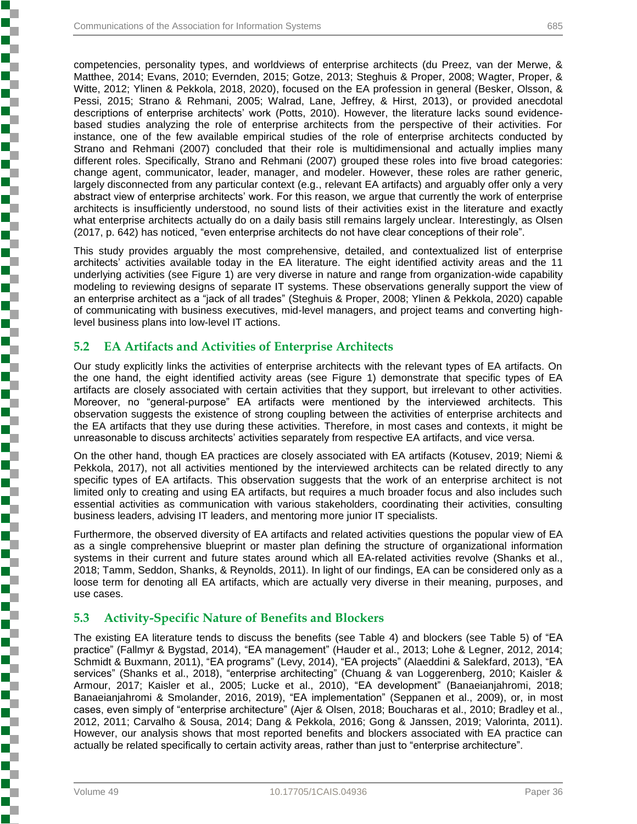competencies, personality types, and worldviews of enterprise architects (du Preez, van der Merwe, & Matthee, 2014; Evans, 2010; Evernden, 2015; Gotze, 2013; Steghuis & Proper, 2008; Wagter, Proper, & Witte, 2012; Ylinen & Pekkola, 2018, 2020), focused on the EA profession in general (Besker, Olsson, & Pessi, 2015; Strano & Rehmani, 2005; Walrad, Lane, Jeffrey, & Hirst, 2013), or provided anecdotal descriptions of enterprise architects' work (Potts, 2010). However, the literature lacks sound evidencebased studies analyzing the role of enterprise architects from the perspective of their activities. For instance, one of the few available empirical studies of the role of enterprise architects conducted by Strano and Rehmani (2007) concluded that their role is multidimensional and actually implies many different roles. Specifically, Strano and Rehmani (2007) grouped these roles into five broad categories: change agent, communicator, leader, manager, and modeler. However, these roles are rather generic, largely disconnected from any particular context (e.g., relevant EA artifacts) and arguably offer only a very abstract view of enterprise architects' work. For this reason, we argue that currently the work of enterprise architects is insufficiently understood, no sound lists of their activities exist in the literature and exactly what enterprise architects actually do on a daily basis still remains largely unclear. Interestingly, as Olsen (2017, p. 642) has noticed, "even enterprise architects do not have clear conceptions of their role".

This study provides arguably the most comprehensive, detailed, and contextualized list of enterprise architects' activities available today in the EA literature. The eight identified activity areas and the 11 underlying activities (see Figure 1) are very diverse in nature and range from organization-wide capability modeling to reviewing designs of separate IT systems. These observations generally support the view of an enterprise architect as a "jack of all trades" (Steghuis & Proper, 2008; Ylinen & Pekkola, 2020) capable of communicating with business executives, mid-level managers, and project teams and converting highlevel business plans into low-level IT actions.

## **5.2 EA Artifacts and Activities of Enterprise Architects**

Our study explicitly links the activities of enterprise architects with the relevant types of EA artifacts. On the one hand, the eight identified activity areas (see Figure 1) demonstrate that specific types of EA artifacts are closely associated with certain activities that they support, but irrelevant to other activities. Moreover, no "general-purpose" EA artifacts were mentioned by the interviewed architects. This observation suggests the existence of strong coupling between the activities of enterprise architects and the EA artifacts that they use during these activities. Therefore, in most cases and contexts, it might be unreasonable to discuss architects' activities separately from respective EA artifacts, and vice versa.

On the other hand, though EA practices are closely associated with EA artifacts (Kotusev, 2019; Niemi & Pekkola, 2017), not all activities mentioned by the interviewed architects can be related directly to any specific types of EA artifacts. This observation suggests that the work of an enterprise architect is not limited only to creating and using EA artifacts, but requires a much broader focus and also includes such essential activities as communication with various stakeholders, coordinating their activities, consulting business leaders, advising IT leaders, and mentoring more junior IT specialists.

Furthermore, the observed diversity of EA artifacts and related activities questions the popular view of EA as a single comprehensive blueprint or master plan defining the structure of organizational information systems in their current and future states around which all EA-related activities revolve (Shanks et al., 2018; Tamm, Seddon, Shanks, & Reynolds, 2011). In light of our findings, EA can be considered only as a loose term for denoting all EA artifacts, which are actually very diverse in their meaning, purposes, and use cases.

## **5.3 Activity-Specific Nature of Benefits and Blockers**

The existing EA literature tends to discuss the benefits (see Table 4) and blockers (see Table 5) of "EA practice" (Fallmyr & Bygstad, 2014), "EA management" (Hauder et al., 2013; Lohe & Legner, 2012, 2014; Schmidt & Buxmann, 2011), "EA programs" (Levy, 2014), "EA projects" (Alaeddini & Salekfard, 2013), "EA services" (Shanks et al., 2018), "enterprise architecting" (Chuang & van Loggerenberg, 2010; Kaisler & Armour, 2017; Kaisler et al., 2005; Lucke et al., 2010), "EA development" (Banaeianjahromi, 2018; Banaeianjahromi & Smolander, 2016, 2019), "EA implementation" (Seppanen et al., 2009), or, in most cases, even simply of "enterprise architecture" (Ajer & Olsen, 2018; Boucharas et al., 2010; Bradley et al., 2012, 2011; Carvalho & Sousa, 2014; Dang & Pekkola, 2016; Gong & Janssen, 2019; Valorinta, 2011). However, our analysis shows that most reported benefits and blockers associated with EA practice can actually be related specifically to certain activity areas, rather than just to "enterprise architecture".

**Experience in the second contract of the contract of the contract of the contract of the contract of the contract of the contract of the contract of the contract of the contract of the contract of the contract of the cont**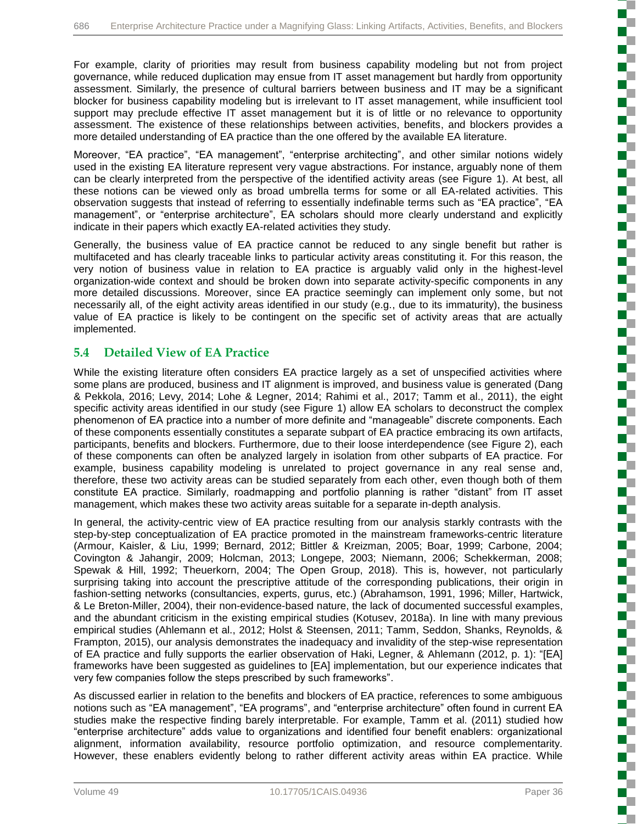For example, clarity of priorities may result from business capability modeling but not from project governance, while reduced duplication may ensue from IT asset management but hardly from opportunity assessment. Similarly, the presence of cultural barriers between business and IT may be a significant blocker for business capability modeling but is irrelevant to IT asset management, while insufficient tool support may preclude effective IT asset management but it is of little or no relevance to opportunity assessment. The existence of these relationships between activities, benefits, and blockers provides a more detailed understanding of EA practice than the one offered by the available EA literature.

Moreover, "EA practice", "EA management", "enterprise architecting", and other similar notions widely used in the existing EA literature represent very vague abstractions. For instance, arguably none of them can be clearly interpreted from the perspective of the identified activity areas (see Figure 1). At best, all these notions can be viewed only as broad umbrella terms for some or all EA-related activities. This observation suggests that instead of referring to essentially indefinable terms such as "EA practice", "EA management", or "enterprise architecture", EA scholars should more clearly understand and explicitly indicate in their papers which exactly EA-related activities they study.

Generally, the business value of EA practice cannot be reduced to any single benefit but rather is multifaceted and has clearly traceable links to particular activity areas constituting it. For this reason, the very notion of business value in relation to EA practice is arguably valid only in the highest-level organization-wide context and should be broken down into separate activity-specific components in any more detailed discussions. Moreover, since EA practice seemingly can implement only some, but not necessarily all, of the eight activity areas identified in our study (e.g., due to its immaturity), the business value of EA practice is likely to be contingent on the specific set of activity areas that are actually implemented.

## **5.4 Detailed View of EA Practice**

While the existing literature often considers EA practice largely as a set of unspecified activities where some plans are produced, business and IT alignment is improved, and business value is generated (Dang & Pekkola, 2016; Levy, 2014; Lohe & Legner, 2014; Rahimi et al., 2017; Tamm et al., 2011), the eight specific activity areas identified in our study (see Figure 1) allow EA scholars to deconstruct the complex phenomenon of EA practice into a number of more definite and "manageable" discrete components. Each of these components essentially constitutes a separate subpart of EA practice embracing its own artifacts, participants, benefits and blockers. Furthermore, due to their loose interdependence (see Figure 2), each of these components can often be analyzed largely in isolation from other subparts of EA practice. For example, business capability modeling is unrelated to project governance in any real sense and, therefore, these two activity areas can be studied separately from each other, even though both of them constitute EA practice. Similarly, roadmapping and portfolio planning is rather "distant" from IT asset management, which makes these two activity areas suitable for a separate in-depth analysis.

In general, the activity-centric view of EA practice resulting from our analysis starkly contrasts with the step-by-step conceptualization of EA practice promoted in the mainstream frameworks-centric literature (Armour, Kaisler, & Liu, 1999; Bernard, 2012; Bittler & Kreizman, 2005; Boar, 1999; Carbone, 2004; Covington & Jahangir, 2009; Holcman, 2013; Longepe, 2003; Niemann, 2006; Schekkerman, 2008; Spewak & Hill, 1992; Theuerkorn, 2004; The Open Group, 2018). This is, however, not particularly surprising taking into account the prescriptive attitude of the corresponding publications, their origin in fashion-setting networks (consultancies, experts, gurus, etc.) (Abrahamson, 1991, 1996; Miller, Hartwick, & Le Breton-Miller, 2004), their non-evidence-based nature, the lack of documented successful examples, and the abundant criticism in the existing empirical studies (Kotusev, 2018a). In line with many previous empirical studies (Ahlemann et al., 2012; Holst & Steensen, 2011; Tamm, Seddon, Shanks, Reynolds, & Frampton, 2015), our analysis demonstrates the inadequacy and invalidity of the step-wise representation of EA practice and fully supports the earlier observation of Haki, Legner, & Ahlemann (2012, p. 1): "[EA] frameworks have been suggested as guidelines to [EA] implementation, but our experience indicates that very few companies follow the steps prescribed by such frameworks".

As discussed earlier in relation to the benefits and blockers of EA practice, references to some ambiguous notions such as "EA management", "EA programs", and "enterprise architecture" often found in current EA studies make the respective finding barely interpretable. For example, Tamm et al. (2011) studied how "enterprise architecture" adds value to organizations and identified four benefit enablers: organizational alignment, information availability, resource portfolio optimization, and resource complementarity. However, these enablers evidently belong to rather different activity areas within EA practice. While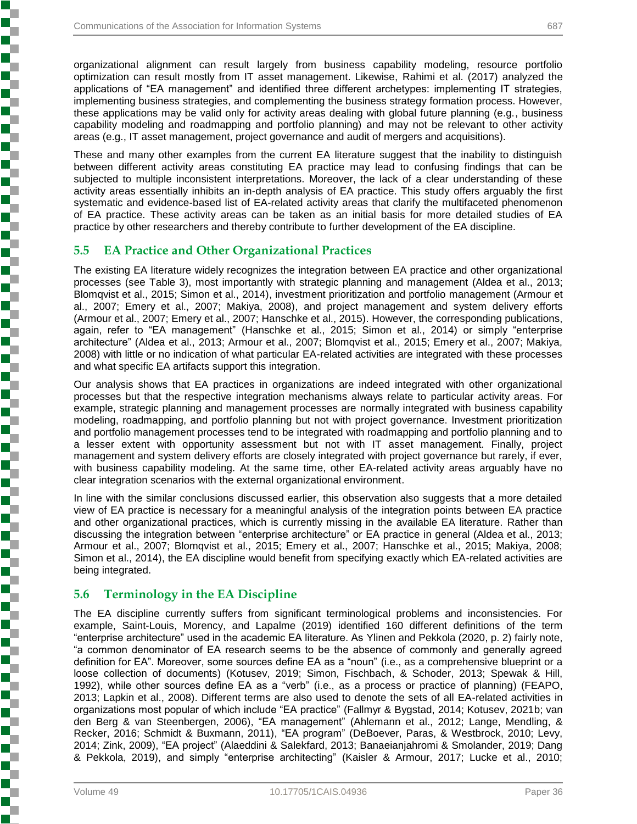organizational alignment can result largely from business capability modeling, resource portfolio optimization can result mostly from IT asset management. Likewise, Rahimi et al. (2017) analyzed the applications of "EA management" and identified three different archetypes: implementing IT strategies, implementing business strategies, and complementing the business strategy formation process. However, these applications may be valid only for activity areas dealing with global future planning (e.g., business capability modeling and roadmapping and portfolio planning) and may not be relevant to other activity areas (e.g., IT asset management, project governance and audit of mergers and acquisitions).

These and many other examples from the current EA literature suggest that the inability to distinguish between different activity areas constituting EA practice may lead to confusing findings that can be subjected to multiple inconsistent interpretations. Moreover, the lack of a clear understanding of these activity areas essentially inhibits an in-depth analysis of EA practice. This study offers arguably the first systematic and evidence-based list of EA-related activity areas that clarify the multifaceted phenomenon of EA practice. These activity areas can be taken as an initial basis for more detailed studies of EA practice by other researchers and thereby contribute to further development of the EA discipline.

### **5.5 EA Practice and Other Organizational Practices**

The existing EA literature widely recognizes the integration between EA practice and other organizational processes (see Table 3), most importantly with strategic planning and management (Aldea et al., 2013; Blomqvist et al., 2015; Simon et al., 2014), investment prioritization and portfolio management (Armour et al., 2007; Emery et al., 2007; Makiya, 2008), and project management and system delivery efforts (Armour et al., 2007; Emery et al., 2007; Hanschke et al., 2015). However, the corresponding publications, again, refer to "EA management" (Hanschke et al., 2015; Simon et al., 2014) or simply "enterprise architecture" (Aldea et al., 2013; Armour et al., 2007; Blomqvist et al., 2015; Emery et al., 2007; Makiya, 2008) with little or no indication of what particular EA-related activities are integrated with these processes and what specific EA artifacts support this integration.

Our analysis shows that EA practices in organizations are indeed integrated with other organizational processes but that the respective integration mechanisms always relate to particular activity areas. For example, strategic planning and management processes are normally integrated with business capability modeling, roadmapping, and portfolio planning but not with project governance. Investment prioritization and portfolio management processes tend to be integrated with roadmapping and portfolio planning and to a lesser extent with opportunity assessment but not with IT asset management. Finally, project management and system delivery efforts are closely integrated with project governance but rarely, if ever, with business capability modeling. At the same time, other EA-related activity areas arguably have no clear integration scenarios with the external organizational environment.

In line with the similar conclusions discussed earlier, this observation also suggests that a more detailed view of EA practice is necessary for a meaningful analysis of the integration points between EA practice and other organizational practices, which is currently missing in the available EA literature. Rather than discussing the integration between "enterprise architecture" or EA practice in general (Aldea et al., 2013; Armour et al., 2007; Blomqvist et al., 2015; Emery et al., 2007; Hanschke et al., 2015; Makiya, 2008; Simon et al., 2014), the EA discipline would benefit from specifying exactly which EA-related activities are being integrated.

### **5.6 Terminology in the EA Discipline**

The EA discipline currently suffers from significant terminological problems and inconsistencies. For example, Saint-Louis, Morency, and Lapalme (2019) identified 160 different definitions of the term "enterprise architecture" used in the academic EA literature. As Ylinen and Pekkola (2020, p. 2) fairly note, "a common denominator of EA research seems to be the absence of commonly and generally agreed definition for EA". Moreover, some sources define EA as a "noun" (i.e., as a comprehensive blueprint or a loose collection of documents) (Kotusev, 2019; Simon, Fischbach, & Schoder, 2013; Spewak & Hill, 1992), while other sources define EA as a "verb" (i.e., as a process or practice of planning) (FEAPO, 2013; Lapkin et al., 2008). Different terms are also used to denote the sets of all EA-related activities in organizations most popular of which include "EA practice" (Fallmyr & Bygstad, 2014; Kotusev, 2021b; van den Berg & van Steenbergen, 2006), "EA management" (Ahlemann et al., 2012; Lange, Mendling, & Recker, 2016; Schmidt & Buxmann, 2011), "EA program" (DeBoever, Paras, & Westbrock, 2010; Levy, 2014; Zink, 2009), "EA project" (Alaeddini & Salekfard, 2013; Banaeianjahromi & Smolander, 2019; Dang & Pekkola, 2019), and simply "enterprise architecting" (Kaisler & Armour, 2017; Lucke et al., 2010;

**Experience in the property of the contract of the contract of the contract of the contract of the contract of**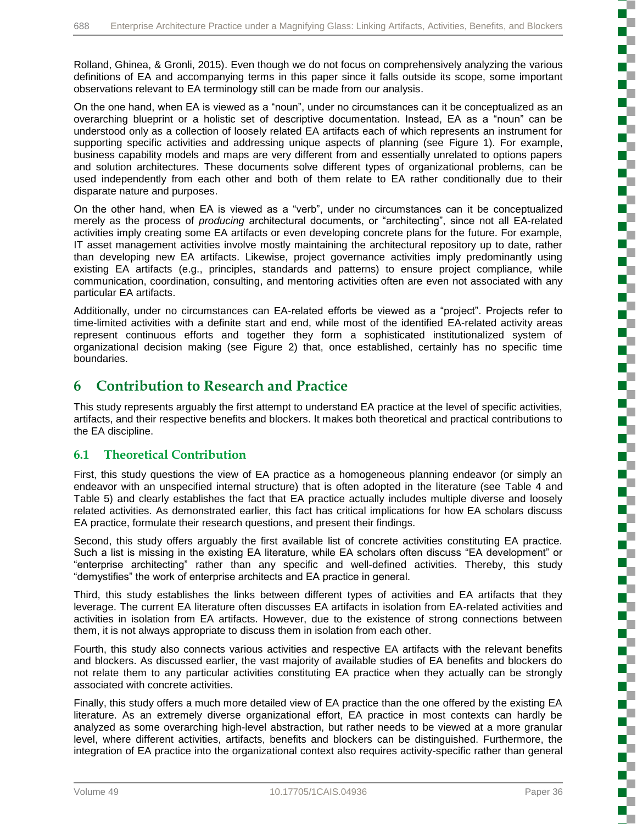Rolland, Ghinea, & Gronli, 2015). Even though we do not focus on comprehensively analyzing the various definitions of EA and accompanying terms in this paper since it falls outside its scope, some important observations relevant to EA terminology still can be made from our analysis.

On the one hand, when EA is viewed as a "noun", under no circumstances can it be conceptualized as an overarching blueprint or a holistic set of descriptive documentation. Instead, EA as a "noun" can be understood only as a collection of loosely related EA artifacts each of which represents an instrument for supporting specific activities and addressing unique aspects of planning (see Figure 1). For example, business capability models and maps are very different from and essentially unrelated to options papers and solution architectures. These documents solve different types of organizational problems, can be used independently from each other and both of them relate to EA rather conditionally due to their disparate nature and purposes.

On the other hand, when EA is viewed as a "verb", under no circumstances can it be conceptualized merely as the process of *producing* architectural documents, or "architecting", since not all EA-related activities imply creating some EA artifacts or even developing concrete plans for the future. For example, IT asset management activities involve mostly maintaining the architectural repository up to date, rather than developing new EA artifacts. Likewise, project governance activities imply predominantly using existing EA artifacts (e.g., principles, standards and patterns) to ensure project compliance, while communication, coordination, consulting, and mentoring activities often are even not associated with any particular EA artifacts.

Additionally, under no circumstances can EA-related efforts be viewed as a "project". Projects refer to time-limited activities with a definite start and end, while most of the identified EA-related activity areas represent continuous efforts and together they form a sophisticated institutionalized system of organizational decision making (see Figure 2) that, once established, certainly has no specific time boundaries.

## **6 Contribution to Research and Practice**

This study represents arguably the first attempt to understand EA practice at the level of specific activities, artifacts, and their respective benefits and blockers. It makes both theoretical and practical contributions to the EA discipline.

## **6.1 Theoretical Contribution**

First, this study questions the view of EA practice as a homogeneous planning endeavor (or simply an endeavor with an unspecified internal structure) that is often adopted in the literature (see Table 4 and Table 5) and clearly establishes the fact that EA practice actually includes multiple diverse and loosely related activities. As demonstrated earlier, this fact has critical implications for how EA scholars discuss EA practice, formulate their research questions, and present their findings.

Second, this study offers arguably the first available list of concrete activities constituting EA practice. Such a list is missing in the existing EA literature, while EA scholars often discuss "EA development" or "enterprise architecting" rather than any specific and well-defined activities. Thereby, this study "demystifies" the work of enterprise architects and EA practice in general.

Third, this study establishes the links between different types of activities and EA artifacts that they leverage. The current EA literature often discusses EA artifacts in isolation from EA-related activities and activities in isolation from EA artifacts. However, due to the existence of strong connections between them, it is not always appropriate to discuss them in isolation from each other.

Fourth, this study also connects various activities and respective EA artifacts with the relevant benefits and blockers. As discussed earlier, the vast majority of available studies of EA benefits and blockers do not relate them to any particular activities constituting EA practice when they actually can be strongly associated with concrete activities.

Finally, this study offers a much more detailed view of EA practice than the one offered by the existing EA literature. As an extremely diverse organizational effort, EA practice in most contexts can hardly be analyzed as some overarching high-level abstraction, but rather needs to be viewed at a more granular level, where different activities, artifacts, benefits and blockers can be distinguished. Furthermore, the integration of EA practice into the organizational context also requires activity-specific rather than general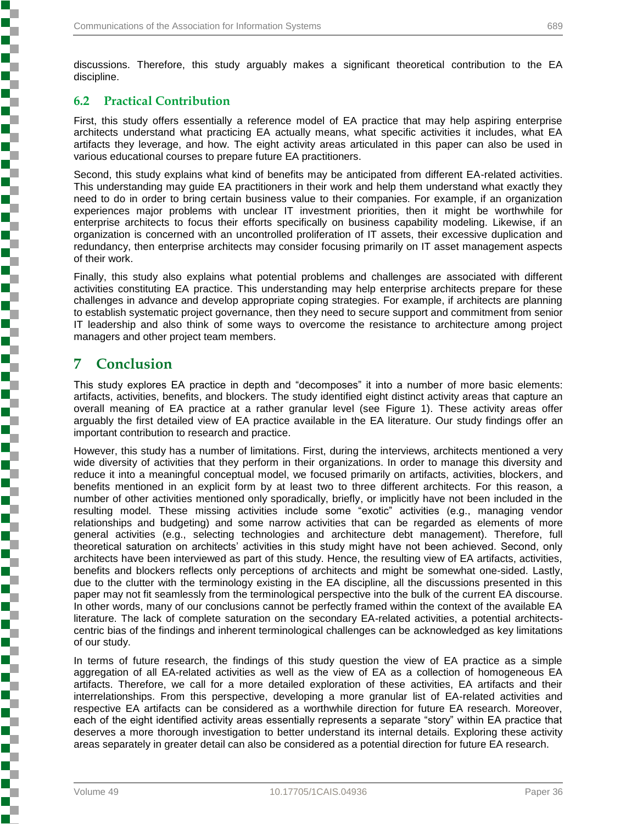discussions. Therefore, this study arguably makes a significant theoretical contribution to the EA discipline.

### **6.2 Practical Contribution**

First, this study offers essentially a reference model of EA practice that may help aspiring enterprise architects understand what practicing EA actually means, what specific activities it includes, what EA artifacts they leverage, and how. The eight activity areas articulated in this paper can also be used in various educational courses to prepare future EA practitioners.

Second, this study explains what kind of benefits may be anticipated from different EA-related activities. This understanding may guide EA practitioners in their work and help them understand what exactly they need to do in order to bring certain business value to their companies. For example, if an organization experiences major problems with unclear IT investment priorities, then it might be worthwhile for enterprise architects to focus their efforts specifically on business capability modeling. Likewise, if an organization is concerned with an uncontrolled proliferation of IT assets, their excessive duplication and redundancy, then enterprise architects may consider focusing primarily on IT asset management aspects of their work.

Finally, this study also explains what potential problems and challenges are associated with different activities constituting EA practice. This understanding may help enterprise architects prepare for these challenges in advance and develop appropriate coping strategies. For example, if architects are planning to establish systematic project governance, then they need to secure support and commitment from senior IT leadership and also think of some ways to overcome the resistance to architecture among project managers and other project team members.

## **7 Conclusion**

**Experience in the second contract of the contract of the contract of the contract of the contract of the contract of the contract of the contract of the contract of the contract of the contract of the contract of the cont** 

Ş

This study explores EA practice in depth and "decomposes" it into a number of more basic elements: artifacts, activities, benefits, and blockers. The study identified eight distinct activity areas that capture an overall meaning of EA practice at a rather granular level (see Figure 1). These activity areas offer arguably the first detailed view of EA practice available in the EA literature. Our study findings offer an important contribution to research and practice.

However, this study has a number of limitations. First, during the interviews, architects mentioned a very wide diversity of activities that they perform in their organizations. In order to manage this diversity and reduce it into a meaningful conceptual model, we focused primarily on artifacts, activities, blockers, and benefits mentioned in an explicit form by at least two to three different architects. For this reason, a number of other activities mentioned only sporadically, briefly, or implicitly have not been included in the resulting model. These missing activities include some "exotic" activities (e.g., managing vendor relationships and budgeting) and some narrow activities that can be regarded as elements of more general activities (e.g., selecting technologies and architecture debt management). Therefore, full theoretical saturation on architects' activities in this study might have not been achieved. Second, only architects have been interviewed as part of this study. Hence, the resulting view of EA artifacts, activities, benefits and blockers reflects only perceptions of architects and might be somewhat one-sided. Lastly, due to the clutter with the terminology existing in the EA discipline, all the discussions presented in this paper may not fit seamlessly from the terminological perspective into the bulk of the current EA discourse. In other words, many of our conclusions cannot be perfectly framed within the context of the available EA literature. The lack of complete saturation on the secondary EA-related activities, a potential architectscentric bias of the findings and inherent terminological challenges can be acknowledged as key limitations of our study.

In terms of future research, the findings of this study question the view of EA practice as a simple aggregation of all EA-related activities as well as the view of EA as a collection of homogeneous EA artifacts. Therefore, we call for a more detailed exploration of these activities, EA artifacts and their interrelationships. From this perspective, developing a more granular list of EA-related activities and respective EA artifacts can be considered as a worthwhile direction for future EA research. Moreover, each of the eight identified activity areas essentially represents a separate "story" within EA practice that deserves a more thorough investigation to better understand its internal details. Exploring these activity areas separately in greater detail can also be considered as a potential direction for future EA research.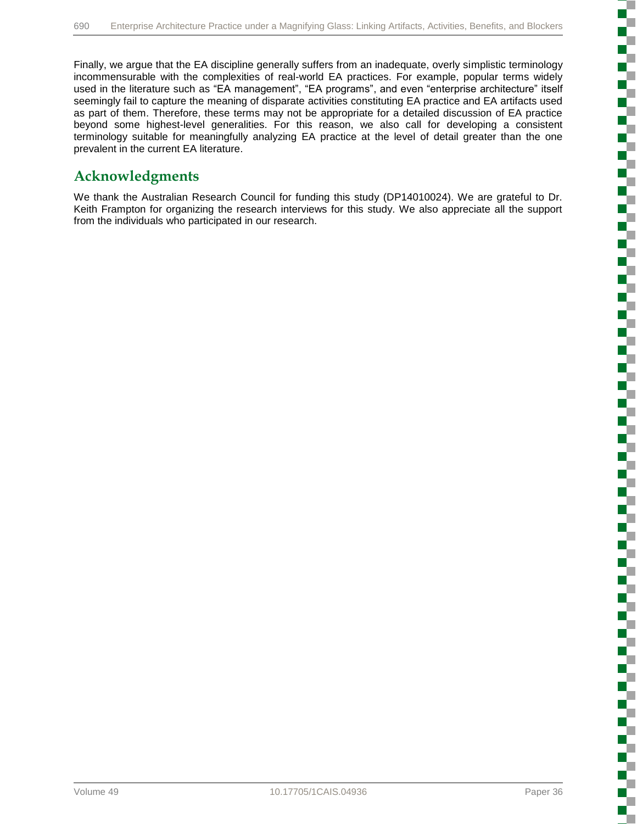Finally, we argue that the EA discipline generally suffers from an inadequate, overly simplistic terminology incommensurable with the complexities of real-world EA practices. For example, popular terms widely used in the literature such as "EA management", "EA programs", and even "enterprise architecture" itself seemingly fail to capture the meaning of disparate activities constituting EA practice and EA artifacts used as part of them. Therefore, these terms may not be appropriate for a detailed discussion of EA practice beyond some highest-level generalities. For this reason, we also call for developing a consistent terminology suitable for meaningfully analyzing EA practice at the level of detail greater than the one prevalent in the current EA literature.

## **Acknowledgments**

We thank the Australian Research Council for funding this study (DP14010024). We are grateful to Dr. Keith Frampton for organizing the research interviews for this study. We also appreciate all the support from the individuals who participated in our research.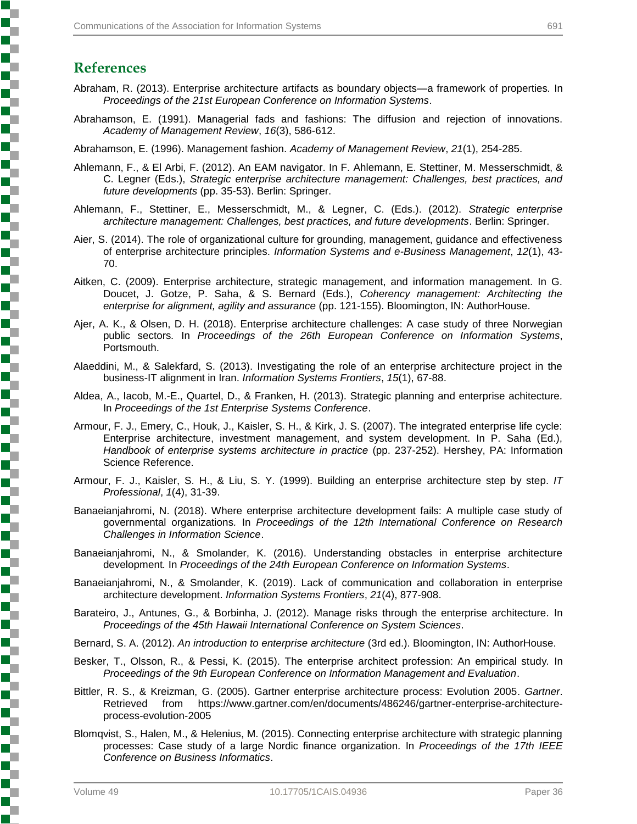## **References**

- Abraham, R. (2013). Enterprise architecture artifacts as boundary objects—a framework of properties*.* In *Proceedings of the 21st European Conference on Information Systems*.
- Abrahamson, E. (1991). Managerial fads and fashions: The diffusion and rejection of innovations. *Academy of Management Review*, *16*(3), 586-612.

Abrahamson, E. (1996). Management fashion. *Academy of Management Review*, *21*(1), 254-285.

- Ahlemann, F., & El Arbi, F. (2012). An EAM navigator. In F. Ahlemann, E. Stettiner, M. Messerschmidt, & C. Legner (Eds.), *Strategic enterprise architecture management: Challenges, best practices, and future developments* (pp. 35-53). Berlin: Springer.
- Ahlemann, F., Stettiner, E., Messerschmidt, M., & Legner, C. (Eds.). (2012). *Strategic enterprise architecture management: Challenges, best practices, and future developments*. Berlin: Springer.
- Aier, S. (2014). The role of organizational culture for grounding, management, guidance and effectiveness of enterprise architecture principles. *Information Systems and e-Business Management*, *12*(1), 43- 70.
- Aitken, C. (2009). Enterprise architecture, strategic management, and information management. In G. Doucet, J. Gotze, P. Saha, & S. Bernard (Eds.), *Coherency management: Architecting the enterprise for alignment, agility and assurance* (pp. 121-155). Bloomington, IN: AuthorHouse.
- Ajer, A. K., & Olsen, D. H. (2018). Enterprise architecture challenges: A case study of three Norwegian public sectors*.* In *Proceedings of the 26th European Conference on Information Systems*, Portsmouth.
- Alaeddini, M., & Salekfard, S. (2013). Investigating the role of an enterprise architecture project in the business-IT alignment in Iran. *Information Systems Frontiers*, *15*(1), 67-88.
- Aldea, A., Iacob, M.-E., Quartel, D., & Franken, H. (2013). Strategic planning and enterprise achitecture*.* In *Proceedings of the 1st Enterprise Systems Conference*.
- Armour, F. J., Emery, C., Houk, J., Kaisler, S. H., & Kirk, J. S. (2007). The integrated enterprise life cycle: Enterprise architecture, investment management, and system development. In P. Saha (Ed.), *Handbook of enterprise systems architecture in practice* (pp. 237-252). Hershey, PA: Information Science Reference.
- Armour, F. J., Kaisler, S. H., & Liu, S. Y. (1999). Building an enterprise architecture step by step. *IT Professional*, *1*(4), 31-39.
- Banaeianjahromi, N. (2018). Where enterprise architecture development fails: A multiple case study of governmental organizations*.* In *Proceedings of the 12th International Conference on Research Challenges in Information Science*.
- Banaeianjahromi, N., & Smolander, K. (2016). Understanding obstacles in enterprise architecture development*.* In *Proceedings of the 24th European Conference on Information Systems*.
- Banaeianjahromi, N., & Smolander, K. (2019). Lack of communication and collaboration in enterprise architecture development. *Information Systems Frontiers*, *21*(4), 877-908.
- Barateiro, J., Antunes, G., & Borbinha, J. (2012). Manage risks through the enterprise architecture*.* In *Proceedings of the 45th Hawaii International Conference on System Sciences*.
- Bernard, S. A. (2012). *An introduction to enterprise architecture* (3rd ed.). Bloomington, IN: AuthorHouse.
- Besker, T., Olsson, R., & Pessi, K. (2015). The enterprise architect profession: An empirical study*.* In *Proceedings of the 9th European Conference on Information Management and Evaluation*.
- Bittler, R. S., & Kreizman, G. (2005). Gartner enterprise architecture process: Evolution 2005. *Gartner*. Retrieved from https://www.gartner.com/en/documents/486246/gartner-enterprise-architectureprocess-evolution-2005
- Blomqvist, S., Halen, M., & Helenius, M. (2015). Connecting enterprise architecture with strategic planning processes: Case study of a large Nordic finance organization*.* In *Proceedings of the 17th IEEE Conference on Business Informatics*.

**Processing Contract Contract Contract Contract Contract Contract Contract Contract Contract Contract Contract**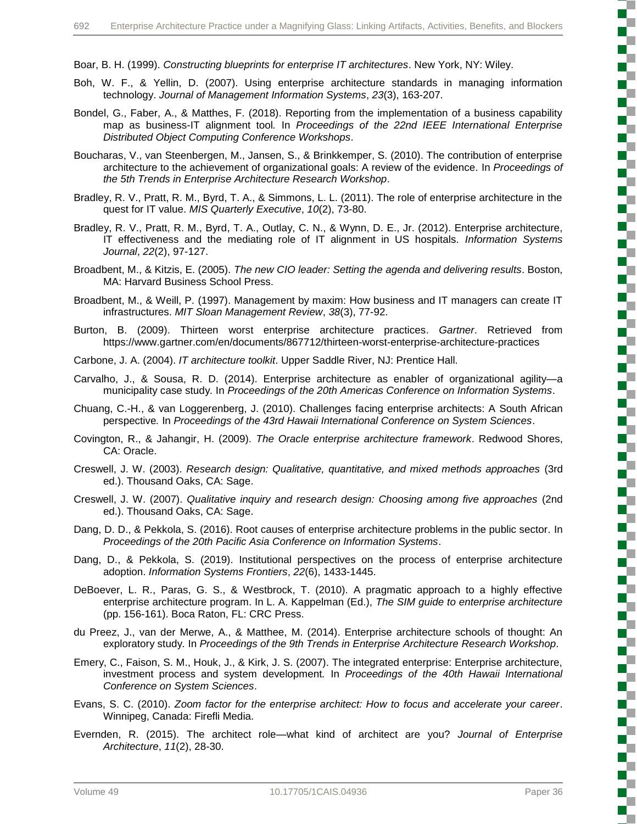Boar, B. H. (1999). *Constructing blueprints for enterprise IT architectures*. New York, NY: Wiley.

- Boh, W. F., & Yellin, D. (2007). Using enterprise architecture standards in managing information technology. *Journal of Management Information Systems*, *23*(3), 163-207.
- Bondel, G., Faber, A., & Matthes, F. (2018). Reporting from the implementation of a business capability map as business-IT alignment tool*.* In *Proceedings of the 22nd IEEE International Enterprise Distributed Object Computing Conference Workshops*.
- Boucharas, V., van Steenbergen, M., Jansen, S., & Brinkkemper, S. (2010). The contribution of enterprise architecture to the achievement of organizational goals: A review of the evidence*.* In *Proceedings of the 5th Trends in Enterprise Architecture Research Workshop*.
- Bradley, R. V., Pratt, R. M., Byrd, T. A., & Simmons, L. L. (2011). The role of enterprise architecture in the quest for IT value. *MIS Quarterly Executive*, *10*(2), 73-80.
- Bradley, R. V., Pratt, R. M., Byrd, T. A., Outlay, C. N., & Wynn, D. E., Jr. (2012). Enterprise architecture, IT effectiveness and the mediating role of IT alignment in US hospitals. *Information Systems Journal*, *22*(2), 97-127.
- Broadbent, M., & Kitzis, E. (2005). *The new CIO leader: Setting the agenda and delivering results*. Boston, MA: Harvard Business School Press.
- Broadbent, M., & Weill, P. (1997). Management by maxim: How business and IT managers can create IT infrastructures. *MIT Sloan Management Review*, *38*(3), 77-92.
- Burton, B. (2009). Thirteen worst enterprise architecture practices. *Gartner*. Retrieved from https://www.gartner.com/en/documents/867712/thirteen-worst-enterprise-architecture-practices
- Carbone, J. A. (2004). *IT architecture toolkit*. Upper Saddle River, NJ: Prentice Hall.
- Carvalho, J., & Sousa, R. D. (2014). Enterprise architecture as enabler of organizational agility—a municipality case study*.* In *Proceedings of the 20th Americas Conference on Information Systems*.
- Chuang, C.-H., & van Loggerenberg, J. (2010). Challenges facing enterprise architects: A South African perspective*.* In *Proceedings of the 43rd Hawaii International Conference on System Sciences*.
- Covington, R., & Jahangir, H. (2009). *The Oracle enterprise architecture framework*. Redwood Shores, CA: Oracle.
- Creswell, J. W. (2003). *Research design: Qualitative, quantitative, and mixed methods approaches* (3rd ed.). Thousand Oaks, CA: Sage.
- Creswell, J. W. (2007). *Qualitative inquiry and research design: Choosing among five approaches* (2nd ed.). Thousand Oaks, CA: Sage.
- Dang, D. D., & Pekkola, S. (2016). Root causes of enterprise architecture problems in the public sector*.* In *Proceedings of the 20th Pacific Asia Conference on Information Systems*.
- Dang, D., & Pekkola, S. (2019). Institutional perspectives on the process of enterprise architecture adoption. *Information Systems Frontiers*, *22*(6), 1433-1445.
- DeBoever, L. R., Paras, G. S., & Westbrock, T. (2010). A pragmatic approach to a highly effective enterprise architecture program. In L. A. Kappelman (Ed.), *The SIM guide to enterprise architecture* (pp. 156-161). Boca Raton, FL: CRC Press.
- du Preez, J., van der Merwe, A., & Matthee, M. (2014). Enterprise architecture schools of thought: An exploratory study*.* In *Proceedings of the 9th Trends in Enterprise Architecture Research Workshop*.
- Emery, C., Faison, S. M., Houk, J., & Kirk, J. S. (2007). The integrated enterprise: Enterprise architecture, investment process and system development*.* In *Proceedings of the 40th Hawaii International Conference on System Sciences*.
- Evans, S. C. (2010). *Zoom factor for the enterprise architect: How to focus and accelerate your career*. Winnipeg, Canada: Firefli Media.
- Evernden, R. (2015). The architect role—what kind of architect are you? *Journal of Enterprise Architecture*, *11*(2), 28-30.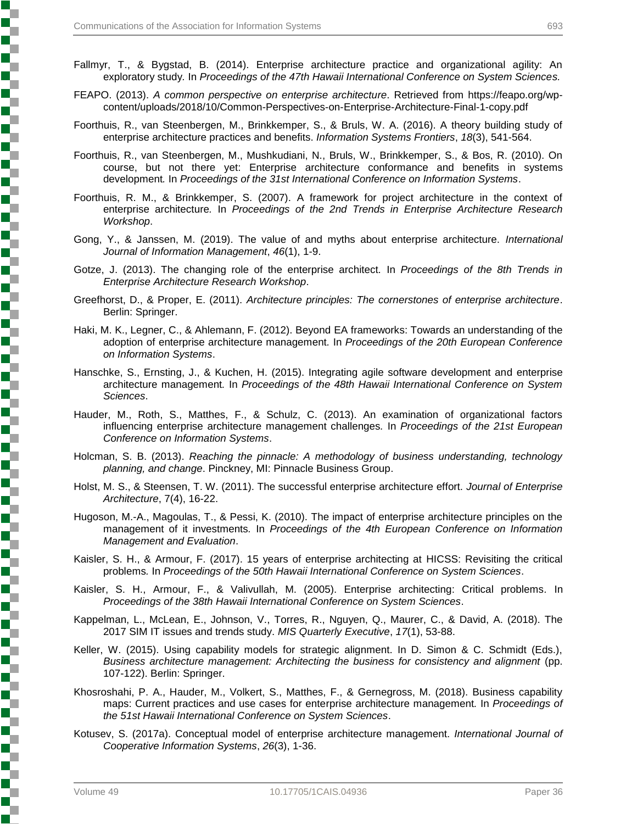- Fallmyr, T., & Bygstad, B. (2014). Enterprise architecture practice and organizational agility: An exploratory study*.* In *Proceedings of the 47th Hawaii International Conference on System Sciences.*
- FEAPO. (2013). *A common perspective on enterprise architecture*. Retrieved from https://feapo.org/wpcontent/uploads/2018/10/Common-Perspectives-on-Enterprise-Architecture-Final-1-copy.pdf
- Foorthuis, R., van Steenbergen, M., Brinkkemper, S., & Bruls, W. A. (2016). A theory building study of enterprise architecture practices and benefits. *Information Systems Frontiers*, *18*(3), 541-564.
- Foorthuis, R., van Steenbergen, M., Mushkudiani, N., Bruls, W., Brinkkemper, S., & Bos, R. (2010). On course, but not there yet: Enterprise architecture conformance and benefits in systems development*.* In *Proceedings of the 31st International Conference on Information Systems*.
- Foorthuis, R. M., & Brinkkemper, S. (2007). A framework for project architecture in the context of enterprise architecture*.* In *Proceedings of the 2nd Trends in Enterprise Architecture Research Workshop*.
- Gong, Y., & Janssen, M. (2019). The value of and myths about enterprise architecture. *International Journal of Information Management*, *46*(1), 1-9.
- Gotze, J. (2013). The changing role of the enterprise architect*.* In *Proceedings of the 8th Trends in Enterprise Architecture Research Workshop*.
- Greefhorst, D., & Proper, E. (2011). *Architecture principles: The cornerstones of enterprise architecture*. Berlin: Springer.
- Haki, M. K., Legner, C., & Ahlemann, F. (2012). Beyond EA frameworks: Towards an understanding of the adoption of enterprise architecture management*.* In *Proceedings of the 20th European Conference on Information Systems*.
- Hanschke, S., Ernsting, J., & Kuchen, H. (2015). Integrating agile software development and enterprise architecture management*.* In *Proceedings of the 48th Hawaii International Conference on System Sciences*.
- Hauder, M., Roth, S., Matthes, F., & Schulz, C. (2013). An examination of organizational factors influencing enterprise architecture management challenges*.* In *Proceedings of the 21st European Conference on Information Systems*.
- Holcman, S. B. (2013). *Reaching the pinnacle: A methodology of business understanding, technology planning, and change*. Pinckney, MI: Pinnacle Business Group.
- Holst, M. S., & Steensen, T. W. (2011). The successful enterprise architecture effort. *Journal of Enterprise Architecture*, 7(4), 16-22.
- Hugoson, M.-A., Magoulas, T., & Pessi, K. (2010). The impact of enterprise architecture principles on the management of it investments*.* In *Proceedings of the 4th European Conference on Information Management and Evaluation*.
- Kaisler, S. H., & Armour, F. (2017). 15 years of enterprise architecting at HICSS: Revisiting the critical problems*.* In *Proceedings of the 50th Hawaii International Conference on System Sciences*.
- Kaisler, S. H., Armour, F., & Valivullah, M. (2005). Enterprise architecting: Critical problems*.* In *Proceedings of the 38th Hawaii International Conference on System Sciences*.
- Kappelman, L., McLean, E., Johnson, V., Torres, R., Nguyen, Q., Maurer, C., & David, A. (2018). The 2017 SIM IT issues and trends study. *MIS Quarterly Executive*, *17*(1), 53-88.
- Keller, W. (2015). Using capability models for strategic alignment. In D. Simon & C. Schmidt (Eds.), *Business architecture management: Architecting the business for consistency and alignment* (pp. 107-122). Berlin: Springer.
- Khosroshahi, P. A., Hauder, M., Volkert, S., Matthes, F., & Gernegross, M. (2018). Business capability maps: Current practices and use cases for enterprise architecture management*.* In *Proceedings of the 51st Hawaii International Conference on System Sciences*.
- Kotusev, S. (2017a). Conceptual model of enterprise architecture management. *International Journal of Cooperative Information Systems*, *26*(3), 1-36.

Ş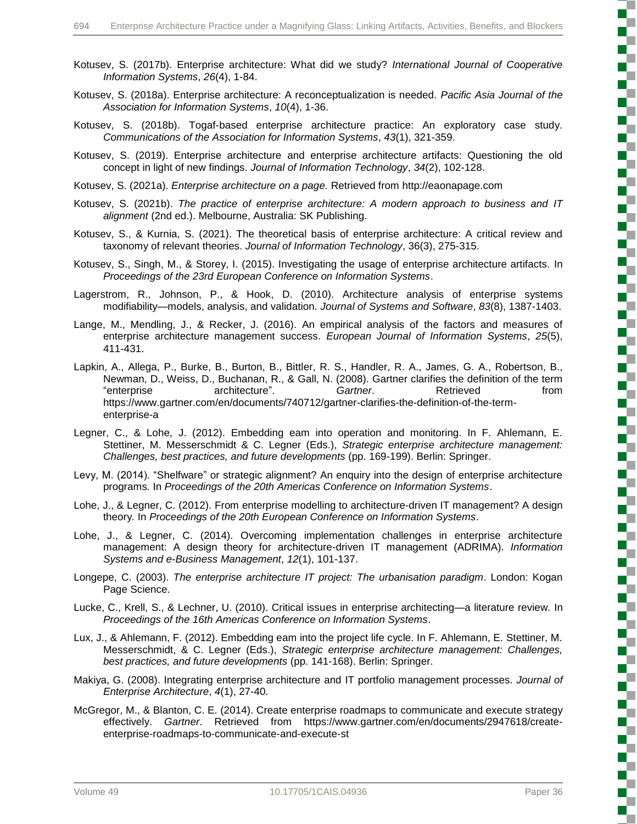- Kotusev, S. (2017b). Enterprise architecture: What did we study? *International Journal of Cooperative Information Systems*, *26*(4), 1-84.
- Kotusev, S. (2018a). Enterprise architecture: A reconceptualization is needed. *Pacific Asia Journal of the Association for Information Systems*, *10*(4), 1-36.
- Kotusev, S. (2018b). Togaf-based enterprise architecture practice: An exploratory case study. *Communications of the Association for Information Systems*, *43*(1), 321-359.
- Kotusev, S. (2019). Enterprise architecture and enterprise architecture artifacts: Questioning the old concept in light of new findings. *Journal of Information Technology*, *34*(2), 102-128.
- Kotusev, S. (2021a). *Enterprise architecture on a page.* Retrieved from http://eaonapage.com
- Kotusev, S. (2021b). *The practice of enterprise architecture: A modern approach to business and IT alignment* (2nd ed.). Melbourne, Australia: SK Publishing.
- Kotusev, S., & Kurnia, S. (2021). The theoretical basis of enterprise architecture: A critical review and taxonomy of relevant theories. *Journal of Information Technology*, 36(3), 275-315.
- Kotusev, S., Singh, M., & Storey, I. (2015). Investigating the usage of enterprise architecture artifacts*.* In *Proceedings of the 23rd European Conference on Information Systems*.
- Lagerstrom, R., Johnson, P., & Hook, D. (2010). Architecture analysis of enterprise systems modifiability—models, analysis, and validation. *Journal of Systems and Software*, *83*(8), 1387-1403.
- Lange, M., Mendling, J., & Recker, J. (2016). An empirical analysis of the factors and measures of enterprise architecture management success. *European Journal of Information Systems*, *25*(5), 411-431.
- Lapkin, A., Allega, P., Burke, B., Burton, B., Bittler, R. S., Handler, R. A., James, G. A., Robertson, B., Newman, D., Weiss, D., Buchanan, R., & Gall, N. (2008). Gartner clarifies the definition of the term "enterprise architecture". *Gartner*. Retrieved from https://www.gartner.com/en/documents/740712/gartner-clarifies-the-definition-of-the-termenterprise-a
- Legner, C., & Lohe, J. (2012). Embedding eam into operation and monitoring. In F. Ahlemann, E. Stettiner, M. Messerschmidt & C. Legner (Eds.), *Strategic enterprise architecture management: Challenges, best practices, and future developments* (pp. 169-199). Berlin: Springer.
- Levy, M. (2014). "Shelfware" or strategic alignment? An enquiry into the design of enterprise architecture programs*.* In *Proceedings of the 20th Americas Conference on Information Systems*.
- Lohe, J., & Legner, C. (2012). From enterprise modelling to architecture-driven IT management? A design theory*.* In *Proceedings of the 20th European Conference on Information Systems*.
- Lohe, J., & Legner, C. (2014). Overcoming implementation challenges in enterprise architecture management: A design theory for architecture-driven IT management (ADRIMA). *Information Systems and e-Business Management*, *12*(1), 101-137.
- Longepe, C. (2003). *The enterprise architecture IT project: The urbanisation paradigm*. London: Kogan Page Science.
- Lucke, C., Krell, S., & Lechner, U. (2010). Critical issues in enterprise architecting—a literature review*.* In *Proceedings of the 16th Americas Conference on Information Systems*.
- Lux, J., & Ahlemann, F. (2012). Embedding eam into the project life cycle. In F. Ahlemann, E. Stettiner, M. Messerschmidt, & C. Legner (Eds.), *Strategic enterprise architecture management: Challenges, best practices, and future developments* (pp. 141-168). Berlin: Springer.
- Makiya, G. (2008). Integrating enterprise architecture and IT portfolio management processes. *Journal of Enterprise Architecture*, *4*(1), 27-40.
- McGregor, M., & Blanton, C. E. (2014). Create enterprise roadmaps to communicate and execute strategy effectively. *Gartner*. Retrieved from https://www.gartner.com/en/documents/2947618/createenterprise-roadmaps-to-communicate-and-execute-st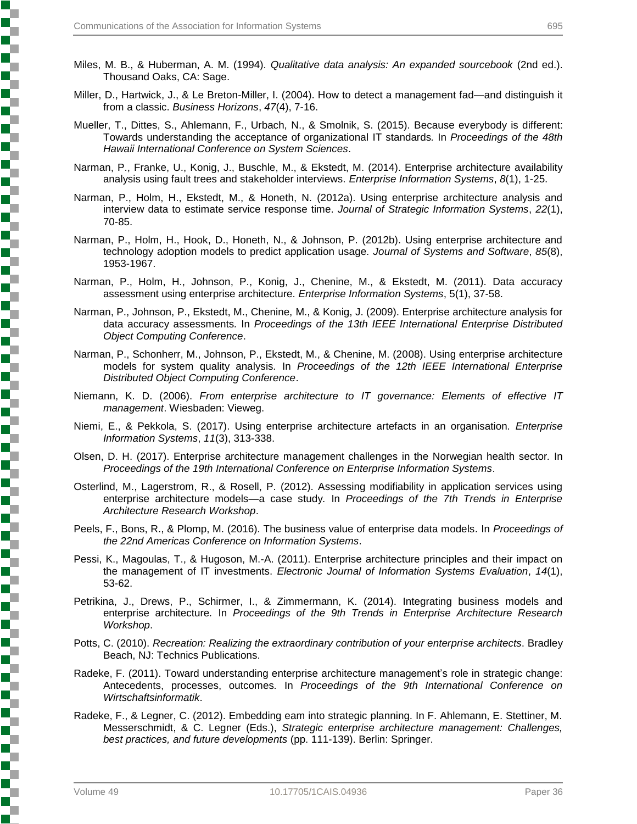- Miles, M. B., & Huberman, A. M. (1994). *Qualitative data analysis: An expanded sourcebook* (2nd ed.). Thousand Oaks, CA: Sage.
- Miller, D., Hartwick, J., & Le Breton-Miller, I. (2004). How to detect a management fad—and distinguish it from a classic. *Business Horizons*, *47*(4), 7-16.
- Mueller, T., Dittes, S., Ahlemann, F., Urbach, N., & Smolnik, S. (2015). Because everybody is different: Towards understanding the acceptance of organizational IT standards*.* In *Proceedings of the 48th Hawaii International Conference on System Sciences*.
- Narman, P., Franke, U., Konig, J., Buschle, M., & Ekstedt, M. (2014). Enterprise architecture availability analysis using fault trees and stakeholder interviews. *Enterprise Information Systems*, *8*(1), 1-25.
- Narman, P., Holm, H., Ekstedt, M., & Honeth, N. (2012a). Using enterprise architecture analysis and interview data to estimate service response time. *Journal of Strategic Information Systems*, *22*(1), 70-85.
- Narman, P., Holm, H., Hook, D., Honeth, N., & Johnson, P. (2012b). Using enterprise architecture and technology adoption models to predict application usage. *Journal of Systems and Software*, *85*(8), 1953-1967.
- Narman, P., Holm, H., Johnson, P., Konig, J., Chenine, M., & Ekstedt, M. (2011). Data accuracy assessment using enterprise architecture. *Enterprise Information Systems*, 5(1), 37-58.
- Narman, P., Johnson, P., Ekstedt, M., Chenine, M., & Konig, J. (2009). Enterprise architecture analysis for data accuracy assessments*.* In *Proceedings of the 13th IEEE International Enterprise Distributed Object Computing Conference*.
- Narman, P., Schonherr, M., Johnson, P., Ekstedt, M., & Chenine, M. (2008). Using enterprise architecture models for system quality analysis*.* In *Proceedings of the 12th IEEE International Enterprise Distributed Object Computing Conference*.
- Niemann, K. D. (2006). *From enterprise architecture to IT governance: Elements of effective IT management*. Wiesbaden: Vieweg.
- Niemi, E., & Pekkola, S. (2017). Using enterprise architecture artefacts in an organisation. *Enterprise Information Systems*, *11*(3), 313-338.
- Olsen, D. H. (2017). Enterprise architecture management challenges in the Norwegian health sector*.* In *Proceedings of the 19th International Conference on Enterprise Information Systems*.
- Osterlind, M., Lagerstrom, R., & Rosell, P. (2012). Assessing modifiability in application services using enterprise architecture models—a case study*.* In *Proceedings of the 7th Trends in Enterprise Architecture Research Workshop*.
- Peels, F., Bons, R., & Plomp, M. (2016). The business value of enterprise data models*.* In *Proceedings of the 22nd Americas Conference on Information Systems*.
- Pessi, K., Magoulas, T., & Hugoson, M.-A. (2011). Enterprise architecture principles and their impact on the management of IT investments. *Electronic Journal of Information Systems Evaluation*, *14*(1), 53-62.
- Petrikina, J., Drews, P., Schirmer, I., & Zimmermann, K. (2014). Integrating business models and enterprise architecture*.* In *Proceedings of the 9th Trends in Enterprise Architecture Research Workshop*.
- Potts, C. (2010). *Recreation: Realizing the extraordinary contribution of your enterprise architects*. Bradley Beach, NJ: Technics Publications.
- Radeke, F. (2011). Toward understanding enterprise architecture management's role in strategic change: Antecedents, processes, outcomes*.* In *Proceedings of the 9th International Conference on Wirtschaftsinformatik*.
- Radeke, F., & Legner, C. (2012). Embedding eam into strategic planning. In F. Ahlemann, E. Stettiner, M. Messerschmidt, & C. Legner (Eds.), *Strategic enterprise architecture management: Challenges, best practices, and future developments* (pp. 111-139). Berlin: Springer.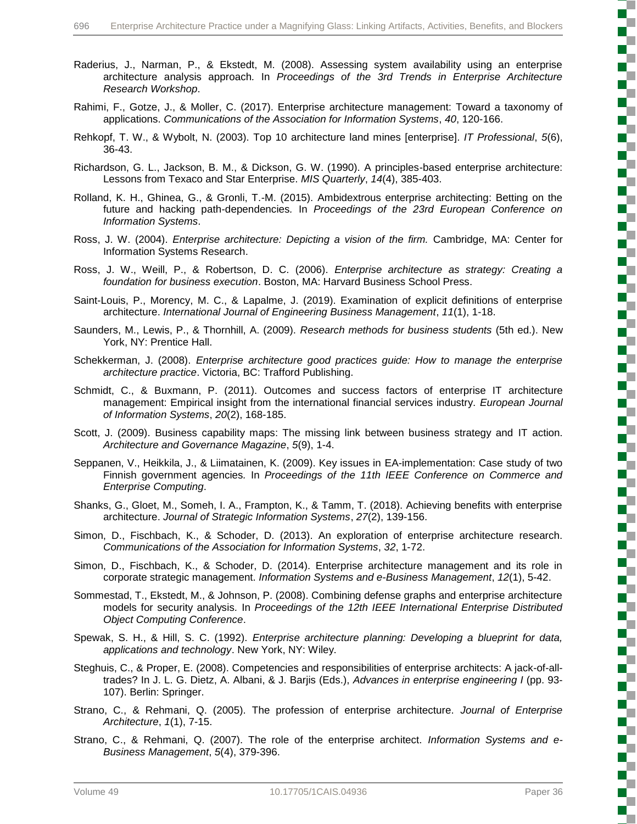- Raderius, J., Narman, P., & Ekstedt, M. (2008). Assessing system availability using an enterprise architecture analysis approach*.* In *Proceedings of the 3rd Trends in Enterprise Architecture Research Workshop*.
- Rahimi, F., Gotze, J., & Moller, C. (2017). Enterprise architecture management: Toward a taxonomy of applications. *Communications of the Association for Information Systems*, *40*, 120-166.
- Rehkopf, T. W., & Wybolt, N. (2003). Top 10 architecture land mines [enterprise]. *IT Professional*, *5*(6), 36-43.
- Richardson, G. L., Jackson, B. M., & Dickson, G. W. (1990). A principles-based enterprise architecture: Lessons from Texaco and Star Enterprise. *MIS Quarterly*, *14*(4), 385-403.
- Rolland, K. H., Ghinea, G., & Gronli, T.-M. (2015). Ambidextrous enterprise architecting: Betting on the future and hacking path-dependencies*.* In *Proceedings of the 23rd European Conference on Information Systems*.
- Ross, J. W. (2004). *Enterprise architecture: Depicting a vision of the firm.* Cambridge, MA: Center for Information Systems Research.
- Ross, J. W., Weill, P., & Robertson, D. C. (2006). *Enterprise architecture as strategy: Creating a foundation for business execution*. Boston, MA: Harvard Business School Press.
- Saint-Louis, P., Morency, M. C., & Lapalme, J. (2019). Examination of explicit definitions of enterprise architecture. *International Journal of Engineering Business Management*, *11*(1), 1-18.
- Saunders, M., Lewis, P., & Thornhill, A. (2009). *Research methods for business students* (5th ed.). New York, NY: Prentice Hall.
- Schekkerman, J. (2008). *Enterprise architecture good practices guide: How to manage the enterprise architecture practice*. Victoria, BC: Trafford Publishing.
- Schmidt, C., & Buxmann, P. (2011). Outcomes and success factors of enterprise IT architecture management: Empirical insight from the international financial services industry. *European Journal of Information Systems*, *20*(2), 168-185.
- Scott, J. (2009). Business capability maps: The missing link between business strategy and IT action. *Architecture and Governance Magazine*, *5*(9), 1-4.
- Seppanen, V., Heikkila, J., & Liimatainen, K. (2009). Key issues in EA-implementation: Case study of two Finnish government agencies*.* In *Proceedings of the 11th IEEE Conference on Commerce and Enterprise Computing*.
- Shanks, G., Gloet, M., Someh, I. A., Frampton, K., & Tamm, T. (2018). Achieving benefits with enterprise architecture. *Journal of Strategic Information Systems*, *27*(2), 139-156.
- Simon, D., Fischbach, K., & Schoder, D. (2013). An exploration of enterprise architecture research. *Communications of the Association for Information Systems*, *32*, 1-72.
- Simon, D., Fischbach, K., & Schoder, D. (2014). Enterprise architecture management and its role in corporate strategic management. *Information Systems and e-Business Management*, *12*(1), 5-42.
- Sommestad, T., Ekstedt, M., & Johnson, P. (2008). Combining defense graphs and enterprise architecture models for security analysis*.* In *Proceedings of the 12th IEEE International Enterprise Distributed Object Computing Conference*.
- Spewak, S. H., & Hill, S. C. (1992). *Enterprise architecture planning: Developing a blueprint for data, applications and technology*. New York, NY: Wiley.
- Steghuis, C., & Proper, E. (2008). Competencies and responsibilities of enterprise architects: A jack-of-alltrades? In J. L. G. Dietz, A. Albani, & J. Barjis (Eds.), *Advances in enterprise engineering I* (pp. 93- 107). Berlin: Springer.
- Strano, C., & Rehmani, Q. (2005). The profession of enterprise architecture. *Journal of Enterprise Architecture*, *1*(1), 7-15.
- Strano, C., & Rehmani, Q. (2007). The role of the enterprise architect. *Information Systems and e-Business Management*, *5*(4), 379-396.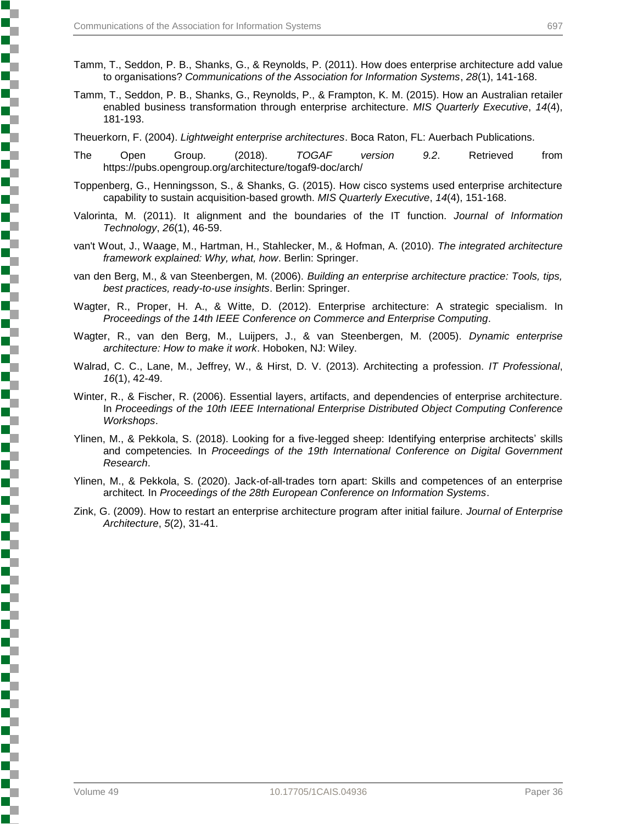- 
- Tamm, T., Seddon, P. B., Shanks, G., & Reynolds, P. (2011). How does enterprise architecture add value to organisations? *Communications of the Association for Information Systems*, *28*(1), 141-168.
- Tamm, T., Seddon, P. B., Shanks, G., Reynolds, P., & Frampton, K. M. (2015). How an Australian retailer enabled business transformation through enterprise architecture. *MIS Quarterly Executive*, *14*(4), 181-193.

Theuerkorn, F. (2004). *Lightweight enterprise architectures*. Boca Raton, FL: Auerbach Publications.

- The Open Group. (2018). *TOGAF version 9.2*. Retrieved from https://pubs.opengroup.org/architecture/togaf9-doc/arch/
- Toppenberg, G., Henningsson, S., & Shanks, G. (2015). How cisco systems used enterprise architecture capability to sustain acquisition-based growth. *MIS Quarterly Executive*, *14*(4), 151-168.
- Valorinta, M. (2011). It alignment and the boundaries of the IT function. *Journal of Information Technology*, *26*(1), 46-59.
- van't Wout, J., Waage, M., Hartman, H., Stahlecker, M., & Hofman, A. (2010). *The integrated architecture framework explained: Why, what, how*. Berlin: Springer.
- van den Berg, M., & van Steenbergen, M. (2006). *Building an enterprise architecture practice: Tools, tips, best practices, ready-to-use insights*. Berlin: Springer.
- Wagter, R., Proper, H. A., & Witte, D. (2012). Enterprise architecture: A strategic specialism*.* In *Proceedings of the 14th IEEE Conference on Commerce and Enterprise Computing*.
- Wagter, R., van den Berg, M., Luijpers, J., & van Steenbergen, M. (2005). *Dynamic enterprise architecture: How to make it work*. Hoboken, NJ: Wiley.
- Walrad, C. C., Lane, M., Jeffrey, W., & Hirst, D. V. (2013). Architecting a profession. *IT Professional*, *16*(1), 42-49.
- Winter, R., & Fischer, R. (2006). Essential layers, artifacts, and dependencies of enterprise architecture*.* In *Proceedings of the 10th IEEE International Enterprise Distributed Object Computing Conference Workshops*.
- Ylinen, M., & Pekkola, S. (2018). Looking for a five-legged sheep: Identifying enterprise architects' skills and competencies*.* In *Proceedings of the 19th International Conference on Digital Government Research*.
- Ylinen, M., & Pekkola, S. (2020). Jack-of-all-trades torn apart: Skills and competences of an enterprise architect*.* In *Proceedings of the 28th European Conference on Information Systems*.
- Zink, G. (2009). How to restart an enterprise architecture program after initial failure. *Journal of Enterprise Architecture*, *5*(2), 31-41.

į